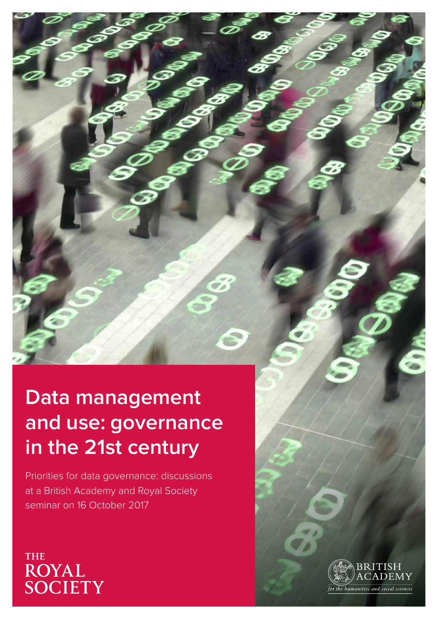# **Data management and use: governance in the 21st century**

Priorities for data governance: discussions at a British Academy and Royal Society seminar on 16 October 2017

**THE** ROYAL<br>SOCIETY

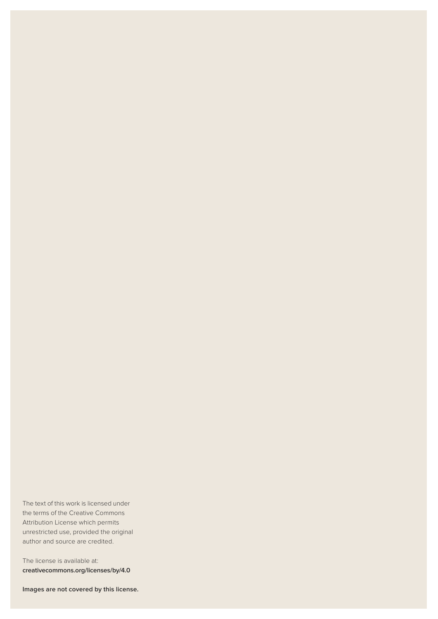The text of this work is licensed under the terms of the Creative Commons Attribution License which permits unrestricted use, provided the original author and source are credited.

The license is available at: **creativecommons.org/licenses/by/4.0**

**Images are not covered by this license.**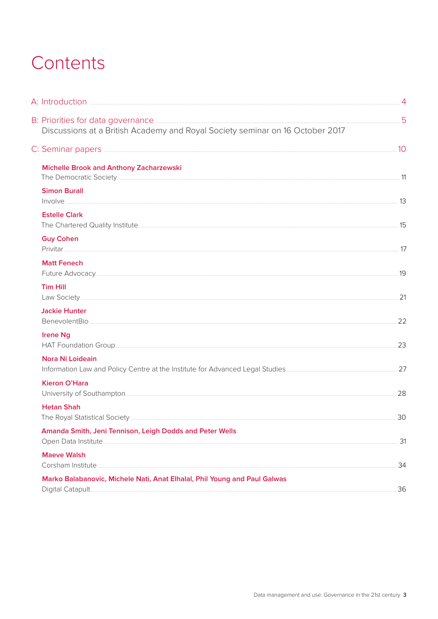## Contents

| B: Priorities for data governance <b>Exercise Community</b> 5<br>Discussions at a British Academy and Royal Society seminar on 16 October 2017 |    |
|------------------------------------------------------------------------------------------------------------------------------------------------|----|
|                                                                                                                                                |    |
| <b>Michelle Brook and Anthony Zacharzewski</b>                                                                                                 |    |
| <b>Simon Burall</b><br>$\begin{minipage}{.4\linewidth} \textbf{13} \end{minipage}$                                                             |    |
| <b>Estelle Clark</b>                                                                                                                           |    |
| <b>Guy Cohen</b>                                                                                                                               |    |
| <b>Matt Fenech</b>                                                                                                                             |    |
| <b>Tim Hill</b>                                                                                                                                |    |
| <b>Jackie Hunter</b>                                                                                                                           |    |
| <b>Irene Ng</b>                                                                                                                                |    |
| Nora Ni Loideain                                                                                                                               |    |
| <b>Kieron O'Hara</b>                                                                                                                           |    |
| <b>Hetan Shah</b>                                                                                                                              |    |
| Amanda Smith, Jeni Tennison, Leigh Dodds and Peter Wells                                                                                       |    |
| <b>Maeve Walsh</b>                                                                                                                             | 34 |
| Marko Balabanovic, Michele Nati, Anat Elhalal, Phil Young and Paul Galwas                                                                      | 36 |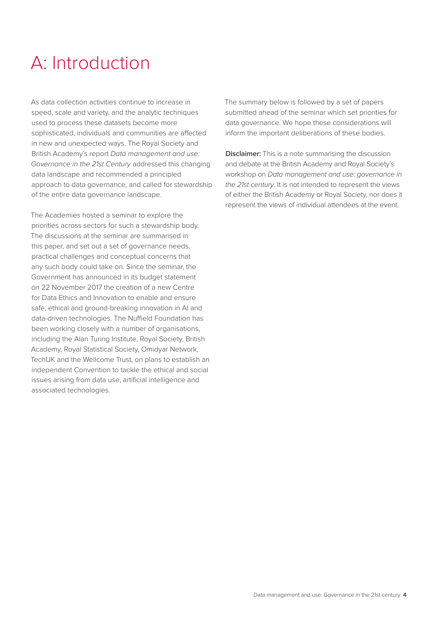# A: Introduction

As data collection activities continue to increase in speed, scale and variety, and the analytic techniques used to process these datasets become more sophisticated, individuals and communities are affected in new and unexpected ways. The Royal Society and British Academy's report *Data management and use: Governance in the 21st Century* addressed this changing data landscape and recommended a principled approach to data governance, and called for stewardship of the entire data governance landscape.

The Academies hosted a seminar to explore the priorities across sectors for such a stewardship body. The discussions at the seminar are summarised in this paper, and set out a set of governance needs, practical challenges and conceptual concerns that any such body could take on. Since the seminar, the Government has announced in its budget statement on 22 November 2017 the creation of a new Centre for Data Ethics and Innovation to enable and ensure safe, ethical and ground-breaking innovation in AI and data-driven technologies. The Nuffield Foundation has been working closely with a number of organisations, including the Alan Turing Institute, Royal Society, British Academy, Royal Statistical Society, Omidyar Network, TechUK and the Wellcome Trust, on plans to establish an independent Convention to tackle the ethical and social issues arising from data use, artificial intelligence and associated technologies.

The summary below is followed by a set of papers submitted ahead of the seminar which set priorities for data governance. We hope these considerations will inform the important deliberations of these bodies.

**Disclaimer:** This is a note summarising the discussion and debate at the British Academy and Royal Society's workshop on *Data management and use: governance in the 21st century*. It is not intended to represent the views of either the British Academy or Royal Society, nor does it represent the views of individual attendees at the event.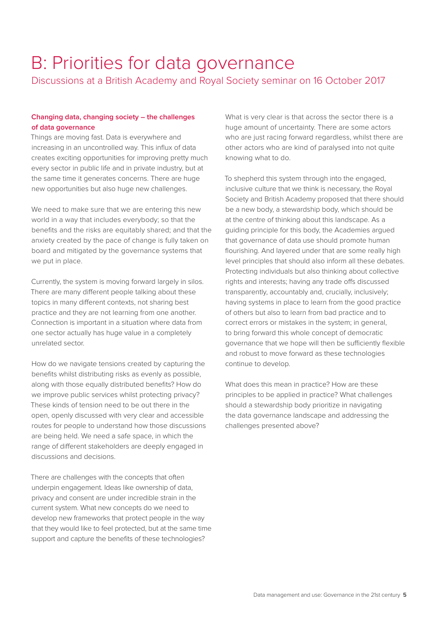# B: Priorities for data governance

Discussions at a British Academy and Royal Society seminar on 16 October 2017

#### **Changing data, changing society – the challenges of data governance**

Things are moving fast. Data is everywhere and increasing in an uncontrolled way. This influx of data creates exciting opportunities for improving pretty much every sector in public life and in private industry, but at the same time it generates concerns. There are huge new opportunities but also huge new challenges.

We need to make sure that we are entering this new world in a way that includes everybody; so that the benefits and the risks are equitably shared; and that the anxiety created by the pace of change is fully taken on board and mitigated by the governance systems that we put in place.

Currently, the system is moving forward largely in silos. There are many different people talking about these topics in many different contexts, not sharing best practice and they are not learning from one another. Connection is important in a situation where data from one sector actually has huge value in a completely unrelated sector.

How do we navigate tensions created by capturing the benefits whilst distributing risks as evenly as possible, along with those equally distributed benefits? How do we improve public services whilst protecting privacy? These kinds of tension need to be out there in the open, openly discussed with very clear and accessible routes for people to understand how those discussions are being held. We need a safe space, in which the range of different stakeholders are deeply engaged in discussions and decisions.

There are challenges with the concepts that often underpin engagement. Ideas like ownership of data, privacy and consent are under incredible strain in the current system. What new concepts do we need to develop new frameworks that protect people in the way that they would like to feel protected, but at the same time support and capture the benefits of these technologies?

What is very clear is that across the sector there is a huge amount of uncertainty. There are some actors who are just racing forward regardless, whilst there are other actors who are kind of paralysed into not quite knowing what to do.

To shepherd this system through into the engaged, inclusive culture that we think is necessary, the Royal Society and British Academy proposed that there should be a new body, a stewardship body, which should be at the centre of thinking about this landscape. As a guiding principle for this body, the Academies argued that governance of data use should promote human flourishing. And layered under that are some really high level principles that should also inform all these debates. Protecting individuals but also thinking about collective rights and interests; having any trade offs discussed transparently, accountably and, crucially, inclusively; having systems in place to learn from the good practice of others but also to learn from bad practice and to correct errors or mistakes in the system; in general, to bring forward this whole concept of democratic governance that we hope will then be sufficiently flexible and robust to move forward as these technologies continue to develop.

What does this mean in practice? How are these principles to be applied in practice? What challenges should a stewardship body prioritize in navigating the data governance landscape and addressing the challenges presented above?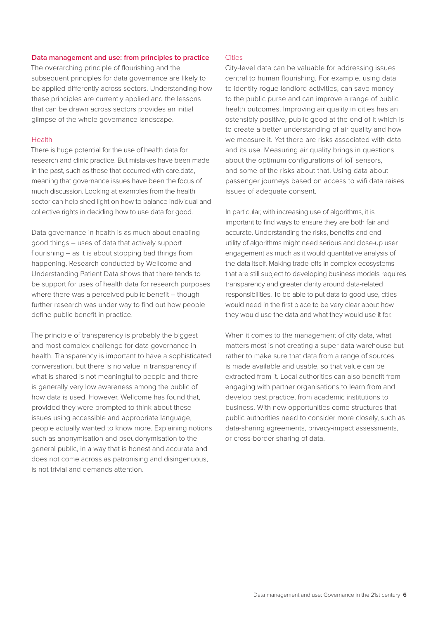#### **Data management and use: from principles to practice**

The overarching principle of flourishing and the subsequent principles for data governance are likely to be applied differently across sectors. Understanding how these principles are currently applied and the lessons that can be drawn across sectors provides an initial glimpse of the whole governance landscape.

#### Health

There is huge potential for the use of health data for research and clinic practice. But mistakes have been made in the past, such as those that occurred with care.data, meaning that governance issues have been the focus of much discussion. Looking at examples from the health sector can help shed light on how to balance individual and collective rights in deciding how to use data for good.

Data governance in health is as much about enabling good things – uses of data that actively support flourishing – as it is about stopping bad things from happening. Research conducted by Wellcome and Understanding Patient Data shows that there tends to be support for uses of health data for research purposes where there was a perceived public benefit – though further research was under way to find out how people define public benefit in practice.

The principle of transparency is probably the biggest and most complex challenge for data governance in health. Transparency is important to have a sophisticated conversation, but there is no value in transparency if what is shared is not meaningful to people and there is generally very low awareness among the public of how data is used. However, Wellcome has found that, provided they were prompted to think about these issues using accessible and appropriate language, people actually wanted to know more. Explaining notions such as anonymisation and pseudonymisation to the general public, in a way that is honest and accurate and does not come across as patronising and disingenuous, is not trivial and demands attention.

#### **Cities**

City-level data can be valuable for addressing issues central to human flourishing. For example, using data to identify rogue landlord activities, can save money to the public purse and can improve a range of public health outcomes. Improving air quality in cities has an ostensibly positive, public good at the end of it which is to create a better understanding of air quality and how we measure it. Yet there are risks associated with data and its use. Measuring air quality brings in questions about the optimum configurations of IoT sensors, and some of the risks about that. Using data about passenger journeys based on access to wifi data raises issues of adequate consent.

In particular, with increasing use of algorithms, it is important to find ways to ensure they are both fair and accurate. Understanding the risks, benefits and end utility of algorithms might need serious and close-up user engagement as much as it would quantitative analysis of the data itself. Making trade-offs in complex ecosystems that are still subject to developing business models requires transparency and greater clarity around data-related responsibilities. To be able to put data to good use, cities would need in the first place to be very clear about how they would use the data and what they would use it for.

When it comes to the management of city data, what matters most is not creating a super data warehouse but rather to make sure that data from a range of sources is made available and usable, so that value can be extracted from it. Local authorities can also benefit from engaging with partner organisations to learn from and develop best practice, from academic institutions to business. With new opportunities come structures that public authorities need to consider more closely, such as data-sharing agreements, privacy-impact assessments, or cross-border sharing of data.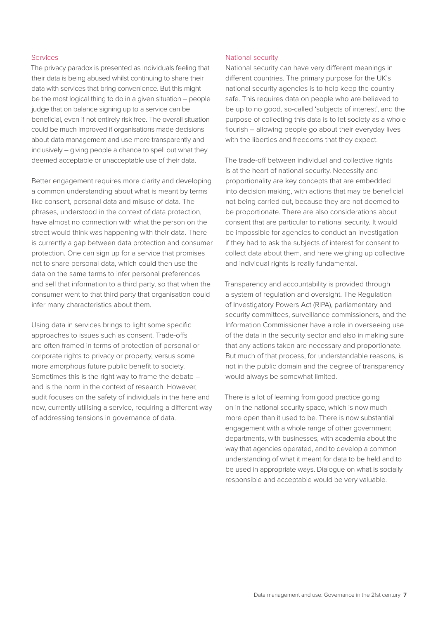#### Services

The privacy paradox is presented as individuals feeling that their data is being abused whilst continuing to share their data with services that bring convenience. But this might be the most logical thing to do in a given situation – people judge that on balance signing up to a service can be beneficial, even if not entirely risk free. The overall situation could be much improved if organisations made decisions about data management and use more transparently and inclusively – giving people a chance to spell out what they deemed acceptable or unacceptable use of their data.

Better engagement requires more clarity and developing a common understanding about what is meant by terms like consent, personal data and misuse of data. The phrases, understood in the context of data protection, have almost no connection with what the person on the street would think was happening with their data. There is currently a gap between data protection and consumer protection. One can sign up for a service that promises not to share personal data, which could then use the data on the same terms to infer personal preferences and sell that information to a third party, so that when the consumer went to that third party that organisation could infer many characteristics about them.

Using data in services brings to light some specific approaches to issues such as consent. Trade-offs are often framed in terms of protection of personal or corporate rights to privacy or property, versus some more amorphous future public benefit to society. Sometimes this is the right way to frame the debate – and is the norm in the context of research. However, audit focuses on the safety of individuals in the here and now, currently utilising a service, requiring a different way of addressing tensions in governance of data.

#### National security

National security can have very different meanings in different countries. The primary purpose for the UK's national security agencies is to help keep the country safe. This requires data on people who are believed to be up to no good, so-called 'subjects of interest', and the purpose of collecting this data is to let society as a whole flourish – allowing people go about their everyday lives with the liberties and freedoms that they expect.

The trade-off between individual and collective rights is at the heart of national security. Necessity and proportionality are key concepts that are embedded into decision making, with actions that may be beneficial not being carried out, because they are not deemed to be proportionate. There are also considerations about consent that are particular to national security. It would be impossible for agencies to conduct an investigation if they had to ask the subjects of interest for consent to collect data about them, and here weighing up collective and individual rights is really fundamental.

Transparency and accountability is provided through a system of regulation and oversight. The Regulation of Investigatory Powers Act (RIPA), parliamentary and security committees, surveillance commissioners, and the Information Commissioner have a role in overseeing use of the data in the security sector and also in making sure that any actions taken are necessary and proportionate. But much of that process, for understandable reasons, is not in the public domain and the degree of transparency would always be somewhat limited.

There is a lot of learning from good practice going on in the national security space, which is now much more open than it used to be. There is now substantial engagement with a whole range of other government departments, with businesses, with academia about the way that agencies operated, and to develop a common understanding of what it meant for data to be held and to be used in appropriate ways. Dialogue on what is socially responsible and acceptable would be very valuable.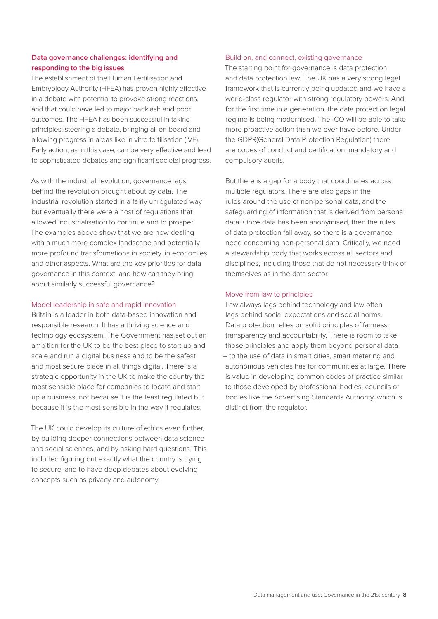#### **Data governance challenges: identifying and responding to the big issues**

The establishment of the Human Fertilisation and Embryology Authority (HFEA) has proven highly effective in a debate with potential to provoke strong reactions, and that could have led to major backlash and poor outcomes. The HFEA has been successful in taking principles, steering a debate, bringing all on board and allowing progress in areas like in vitro fertilisation (IVF). Early action, as in this case, can be very effective and lead to sophisticated debates and significant societal progress.

As with the industrial revolution, governance lags behind the revolution brought about by data. The industrial revolution started in a fairly unregulated way but eventually there were a host of regulations that allowed industrialisation to continue and to prosper. The examples above show that we are now dealing with a much more complex landscape and potentially more profound transformations in society, in economies and other aspects. What are the key priorities for data governance in this context, and how can they bring about similarly successful governance?

#### Model leadership in safe and rapid innovation

Britain is a leader in both data-based innovation and responsible research. It has a thriving science and technology ecosystem. The Government has set out an ambition for the UK to be the best place to start up and scale and run a digital business and to be the safest and most secure place in all things digital. There is a strategic opportunity in the UK to make the country the most sensible place for companies to locate and start up a business, not because it is the least regulated but because it is the most sensible in the way it regulates.

The UK could develop its culture of ethics even further, by building deeper connections between data science and social sciences, and by asking hard questions. This included figuring out exactly what the country is trying to secure, and to have deep debates about evolving concepts such as privacy and autonomy.

#### Build on, and connect, existing governance

The starting point for governance is data protection and data protection law. The UK has a very strong legal framework that is currently being updated and we have a world-class regulator with strong regulatory powers. And, for the first time in a generation, the data protection legal regime is being modernised. The ICO will be able to take more proactive action than we ever have before. Under the GDPR(General Data Protection Regulation) there are codes of conduct and certification, mandatory and compulsory audits.

But there is a gap for a body that coordinates across multiple regulators. There are also gaps in the rules around the use of non-personal data, and the safeguarding of information that is derived from personal data. Once data has been anonymised, then the rules of data protection fall away, so there is a governance need concerning non-personal data. Critically, we need a stewardship body that works across all sectors and disciplines, including those that do not necessary think of themselves as in the data sector.

#### Move from law to principles

Law always lags behind technology and law often lags behind social expectations and social norms. Data protection relies on solid principles of fairness, transparency and accountability. There is room to take those principles and apply them beyond personal data – to the use of data in smart cities, smart metering and autonomous vehicles has for communities at large. There is value in developing common codes of practice similar to those developed by professional bodies, councils or bodies like the Advertising Standards Authority, which is distinct from the regulator.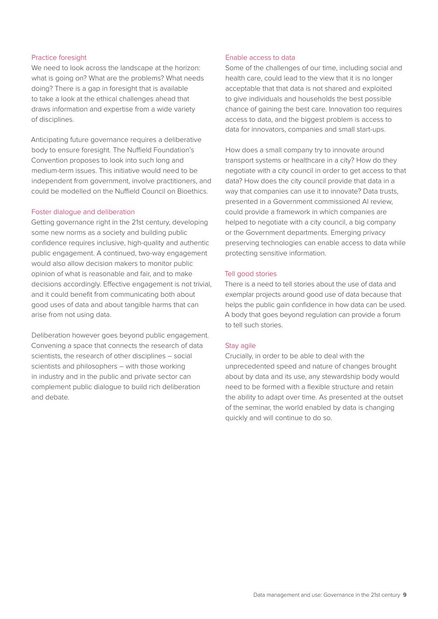#### Practice foresight

We need to look across the landscape at the horizon: what is going on? What are the problems? What needs doing? There is a gap in foresight that is available to take a look at the ethical challenges ahead that draws information and expertise from a wide variety of disciplines.

Anticipating future governance requires a deliberative body to ensure foresight. The Nuffield Foundation's Convention proposes to look into such long and medium-term issues. This initiative would need to be independent from government, involve practitioners, and could be modelled on the Nuffield Council on Bioethics.

#### Foster dialogue and deliberation

Getting governance right in the 21st century, developing some new norms as a society and building public confidence requires inclusive, high-quality and authentic public engagement. A continued, two-way engagement would also allow decision makers to monitor public opinion of what is reasonable and fair, and to make decisions accordingly. Effective engagement is not trivial, and it could benefit from communicating both about good uses of data and about tangible harms that can arise from not using data.

Deliberation however goes beyond public engagement. Convening a space that connects the research of data scientists, the research of other disciplines – social scientists and philosophers – with those working in industry and in the public and private sector can complement public dialogue to build rich deliberation and debate.

#### Enable access to data

Some of the challenges of our time, including social and health care, could lead to the view that it is no longer acceptable that that data is not shared and exploited to give individuals and households the best possible chance of gaining the best care. Innovation too requires access to data, and the biggest problem is access to data for innovators, companies and small start-ups.

How does a small company try to innovate around transport systems or healthcare in a city? How do they negotiate with a city council in order to get access to that data? How does the city council provide that data in a way that companies can use it to innovate? Data trusts, presented in a Government commissioned AI review, could provide a framework in which companies are helped to negotiate with a city council, a big company or the Government departments. Emerging privacy preserving technologies can enable access to data while protecting sensitive information.

#### Tell good stories

There is a need to tell stories about the use of data and exemplar projects around good use of data because that helps the public gain confidence in how data can be used. A body that goes beyond regulation can provide a forum to tell such stories.

#### Stay agile

Crucially, in order to be able to deal with the unprecedented speed and nature of changes brought about by data and its use, any stewardship body would need to be formed with a flexible structure and retain the ability to adapt over time. As presented at the outset of the seminar, the world enabled by data is changing quickly and will continue to do so.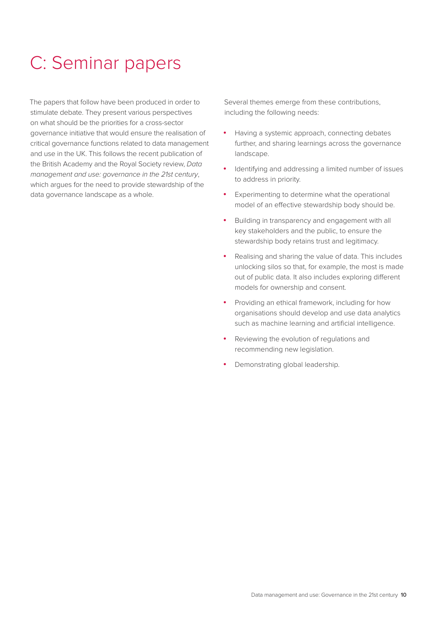## C: Seminar papers

The papers that follow have been produced in order to stimulate debate. They present various perspectives on what should be the priorities for a cross-sector governance initiative that would ensure the realisation of critical governance functions related to data management and use in the UK. This follows the recent publication of the British Academy and the Royal Society review, *Data management and use: governance in the 21st century*, which argues for the need to provide stewardship of the data governance landscape as a whole.

Several themes emerge from these contributions, including the following needs:

- Having a systemic approach, connecting debates further, and sharing learnings across the governance landscape.
- • Identifying and addressing a limited number of issues to address in priority.
- • Experimenting to determine what the operational model of an effective stewardship body should be.
- • Building in transparency and engagement with all key stakeholders and the public, to ensure the stewardship body retains trust and legitimacy.
- • Realising and sharing the value of data. This includes unlocking silos so that, for example, the most is made out of public data. It also includes exploring different models for ownership and consent.
- Providing an ethical framework, including for how organisations should develop and use data analytics such as machine learning and artificial intelligence.
- • Reviewing the evolution of regulations and recommending new legislation.
- Demonstrating global leadership.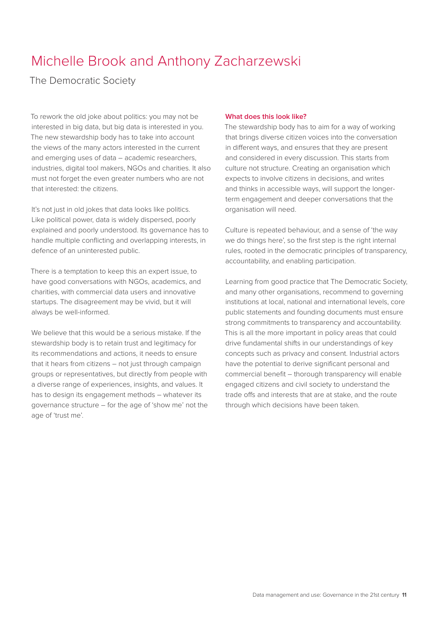### Michelle Brook and Anthony Zacharzewski

The Democratic Society

To rework the old joke about politics: you may not be interested in big data, but big data is interested in you. The new stewardship body has to take into account the views of the many actors interested in the current and emerging uses of data – academic researchers, industries, digital tool makers, NGOs and charities. It also must not forget the even greater numbers who are not that interested: the citizens.

It's not just in old jokes that data looks like politics. Like political power, data is widely dispersed, poorly explained and poorly understood. Its governance has to handle multiple conflicting and overlapping interests, in defence of an uninterested public.

There is a temptation to keep this an expert issue, to have good conversations with NGOs, academics, and charities, with commercial data users and innovative startups. The disagreement may be vivid, but it will always be well-informed.

We believe that this would be a serious mistake. If the stewardship body is to retain trust and legitimacy for its recommendations and actions, it needs to ensure that it hears from citizens – not just through campaign groups or representatives, but directly from people with a diverse range of experiences, insights, and values. It has to design its engagement methods – whatever its governance structure – for the age of 'show me' not the age of 'trust me'.

#### **What does this look like?**

The stewardship body has to aim for a way of working that brings diverse citizen voices into the conversation in different ways, and ensures that they are present and considered in every discussion. This starts from culture not structure. Creating an organisation which expects to involve citizens in decisions, and writes and thinks in accessible ways, will support the longerterm engagement and deeper conversations that the organisation will need.

Culture is repeated behaviour, and a sense of 'the way we do things here', so the first step is the right internal rules, rooted in the democratic principles of transparency, accountability, and enabling participation.

Learning from good practice that The Democratic Society, and many other organisations, recommend to governing institutions at local, national and international levels, core public statements and founding documents must ensure strong commitments to transparency and accountability. This is all the more important in policy areas that could drive fundamental shifts in our understandings of key concepts such as privacy and consent. Industrial actors have the potential to derive significant personal and commercial benefit – thorough transparency will enable engaged citizens and civil society to understand the trade offs and interests that are at stake, and the route through which decisions have been taken.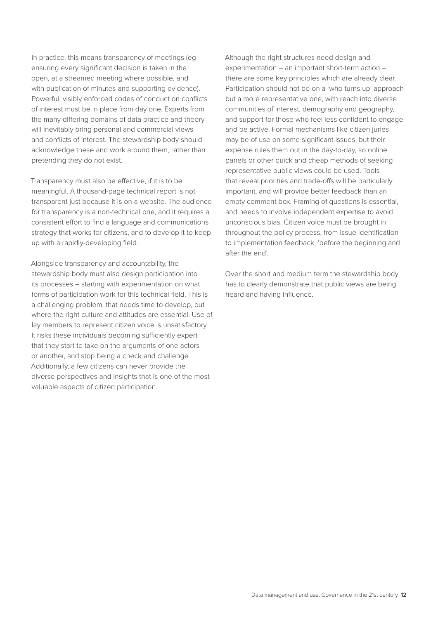In practice, this means transparency of meetings (eg ensuring every significant decision is taken in the open, at a streamed meeting where possible, and with publication of minutes and supporting evidence). Powerful, visibly enforced codes of conduct on conflicts of interest must be in place from day one. Experts from the many differing domains of data practice and theory will inevitably bring personal and commercial views and conflicts of interest. The stewardship body should acknowledge these and work around them, rather than pretending they do not exist.

Transparency must also be effective, if it is to be meaningful. A thousand-page technical report is not transparent just because it is on a website. The audience for transparency is a non-technical one, and it requires a consistent effort to find a language and communications strategy that works for citizens, and to develop it to keep up with a rapidly-developing field.

Alongside transparency and accountability, the stewardship body must also design participation into its processes – starting with experimentation on what forms of participation work for this technical field. This is a challenging problem, that needs time to develop, but where the right culture and attitudes are essential. Use of lay members to represent citizen voice is unsatisfactory. It risks these individuals becoming sufficiently expert that they start to take on the arguments of one actors or another, and stop being a check and challenge. Additionally, a few citizens can never provide the diverse perspectives and insights that is one of the most valuable aspects of citizen participation.

Although the right structures need design and experimentation – an important short-term action – there are some key principles which are already clear. Participation should not be on a 'who turns up' approach but a more representative one, with reach into diverse communities of interest, demography and geography, and support for those who feel less confident to engage and be active. Formal mechanisms like citizen juries may be of use on some significant issues, but their expense rules them out in the day-to-day, so online panels or other quick and cheap methods of seeking representative public views could be used. Tools that reveal priorities and trade-offs will be particularly important, and will provide better feedback than an empty comment box. Framing of questions is essential, and needs to involve independent expertise to avoid unconscious bias. Citizen voice must be brought in throughout the policy process, from issue identification to implementation feedback, 'before the beginning and after the end'.

Over the short and medium term the stewardship body has to clearly demonstrate that public views are being heard and having influence.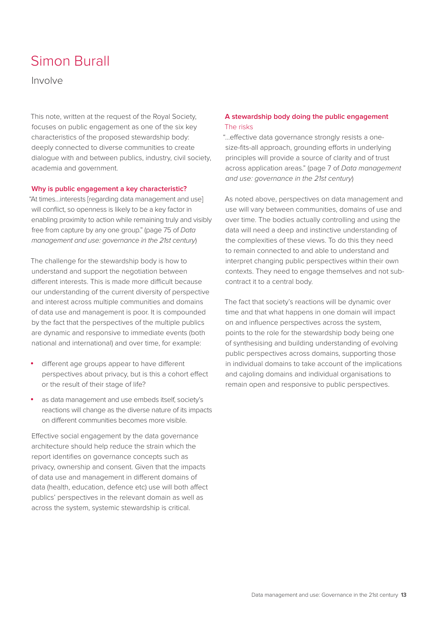### Simon Burall

Involve

This note, written at the request of the Royal Society, focuses on public engagement as one of the six key characteristics of the proposed stewardship body: deeply connected to diverse communities to create dialogue with and between publics, industry, civil society, academia and government.

#### **Why is public engagement a key characteristic?**

"At times…interests [regarding data management and use] will conflict, so openness is likely to be a key factor in enabling proximity to action while remaining truly and visibly free from capture by any one group." (page 75 of *Data management and use: governance in the 21st century*)

The challenge for the stewardship body is how to understand and support the negotiation between different interests. This is made more difficult because our understanding of the current diversity of perspective and interest across multiple communities and domains of data use and management is poor. It is compounded by the fact that the perspectives of the multiple publics are dynamic and responsive to immediate events (both national and international) and over time, for example:

- • different age groups appear to have different perspectives about privacy, but is this a cohort effect or the result of their stage of life?
- as data management and use embeds itself, society's reactions will change as the diverse nature of its impacts on different communities becomes more visible.

Effective social engagement by the data governance architecture should help reduce the strain which the report identifies on governance concepts such as privacy, ownership and consent. Given that the impacts of data use and management in different domains of data (health, education, defence etc) use will both affect publics' perspectives in the relevant domain as well as across the system, systemic stewardship is critical.

#### **A stewardship body doing the public engagement**  The risks

"…effective data governance strongly resists a onesize-fits-all approach, grounding efforts in underlying principles will provide a source of clarity and of trust across application areas." (page 7 of *Data management and use: governance in the 21st century*)

As noted above, perspectives on data management and use will vary between communities, domains of use and over time. The bodies actually controlling and using the data will need a deep and instinctive understanding of the complexities of these views. To do this they need to remain connected to and able to understand and interpret changing public perspectives within their own contexts. They need to engage themselves and not subcontract it to a central body.

The fact that society's reactions will be dynamic over time and that what happens in one domain will impact on and influence perspectives across the system, points to the role for the stewardship body being one of synthesising and building understanding of evolving public perspectives across domains, supporting those in individual domains to take account of the implications and cajoling domains and individual organisations to remain open and responsive to public perspectives.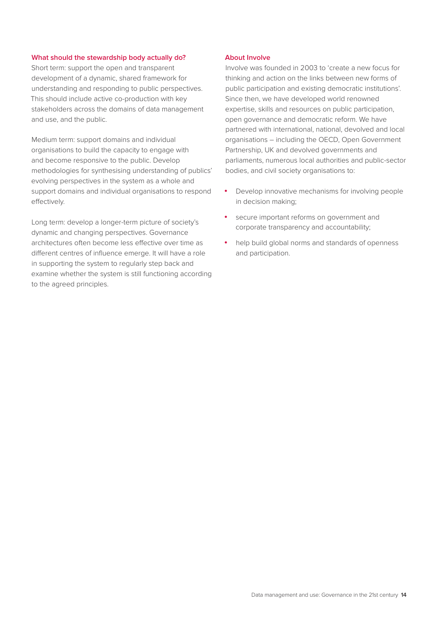#### **What should the stewardship body actually do?**

Short term: support the open and transparent development of a dynamic, shared framework for understanding and responding to public perspectives. This should include active co-production with key stakeholders across the domains of data management and use, and the public.

Medium term: support domains and individual organisations to build the capacity to engage with and become responsive to the public. Develop methodologies for synthesising understanding of publics' evolving perspectives in the system as a whole and support domains and individual organisations to respond effectively.

Long term: develop a longer-term picture of society's dynamic and changing perspectives. Governance architectures often become less effective over time as different centres of influence emerge. It will have a role in supporting the system to regularly step back and examine whether the system is still functioning according to the agreed principles.

#### **About Involve**

Involve was founded in 2003 to 'create a new focus for thinking and action on the links between new forms of public participation and existing democratic institutions'. Since then, we have developed world renowned expertise, skills and resources on public participation, open governance and democratic reform. We have partnered with international, national, devolved and local organisations – including the OECD, Open Government Partnership, UK and devolved governments and parliaments, numerous local authorities and public-sector bodies, and civil society organisations to:

- Develop innovative mechanisms for involving people in decision making;
- secure important reforms on government and corporate transparency and accountability;
- help build global norms and standards of openness and participation.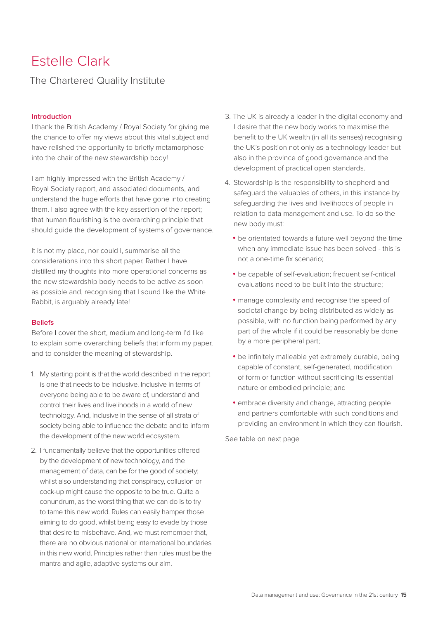### Estelle Clark

#### The Chartered Quality Institute

#### **Introduction**

I thank the British Academy / Royal Society for giving me the chance to offer my views about this vital subject and have relished the opportunity to briefly metamorphose into the chair of the new stewardship body!

I am highly impressed with the British Academy / Royal Society report, and associated documents, and understand the huge efforts that have gone into creating them. I also agree with the key assertion of the report; that human flourishing is the overarching principle that should guide the development of systems of governance.

It is not my place, nor could I, summarise all the considerations into this short paper. Rather I have distilled my thoughts into more operational concerns as the new stewardship body needs to be active as soon as possible and, recognising that I sound like the White Rabbit, is arguably already late!

#### **Beliefs**

Before I cover the short, medium and long-term I'd like to explain some overarching beliefs that inform my paper, and to consider the meaning of stewardship.

- 1. My starting point is that the world described in the report is one that needs to be inclusive. Inclusive in terms of everyone being able to be aware of, understand and control their lives and livelihoods in a world of new technology. And, inclusive in the sense of all strata of society being able to influence the debate and to inform the development of the new world ecosystem.
- 2. I fundamentally believe that the opportunities offered by the development of new technology, and the management of data, can be for the good of society; whilst also understanding that conspiracy, collusion or cock-up might cause the opposite to be true. Quite a conundrum, as the worst thing that we can do is to try to tame this new world. Rules can easily hamper those aiming to do good, whilst being easy to evade by those that desire to misbehave. And, we must remember that, there are no obvious national or international boundaries in this new world. Principles rather than rules must be the mantra and agile, adaptive systems our aim.
- 3. The UK is already a leader in the digital economy and I desire that the new body works to maximise the benefit to the UK wealth (in all its senses) recognising the UK's position not only as a technology leader but also in the province of good governance and the development of practical open standards.
- 4. Stewardship is the responsibility to shepherd and safeguard the valuables of others, in this instance by safeguarding the lives and livelihoods of people in relation to data management and use. To do so the new body must:
	- be orientated towards a future well beyond the time when any immediate issue has been solved - this is not a one-time fix scenario;
	- be capable of self-evaluation; frequent self-critical evaluations need to be built into the structure;
	- manage complexity and recognise the speed of societal change by being distributed as widely as possible, with no function being performed by any part of the whole if it could be reasonably be done by a more peripheral part;
	- be infinitely malleable yet extremely durable, being capable of constant, self-generated, modification of form or function without sacrificing its essential nature or embodied principle; and
	- embrace diversity and change, attracting people and partners comfortable with such conditions and providing an environment in which they can flourish.

See table on next page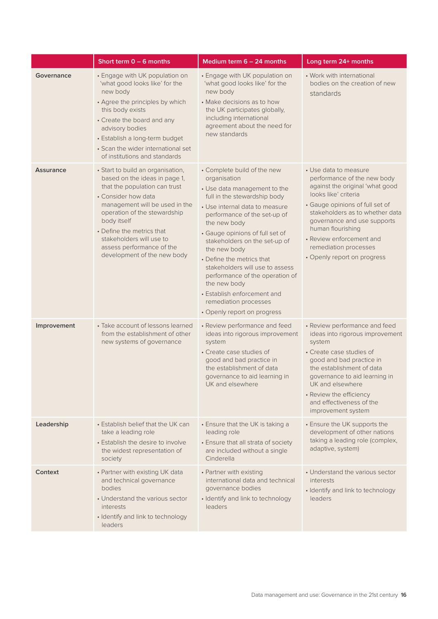|                  | Short term $0 - 6$ months                                                                                                                                                                                                                                                                                                        | Medium term $6 - 24$ months                                                                                                                                                                                                                                                                                                                                                                                                                                                                 | Long term 24+ months                                                                                                                                                                                                                                                                                                          |
|------------------|----------------------------------------------------------------------------------------------------------------------------------------------------------------------------------------------------------------------------------------------------------------------------------------------------------------------------------|---------------------------------------------------------------------------------------------------------------------------------------------------------------------------------------------------------------------------------------------------------------------------------------------------------------------------------------------------------------------------------------------------------------------------------------------------------------------------------------------|-------------------------------------------------------------------------------------------------------------------------------------------------------------------------------------------------------------------------------------------------------------------------------------------------------------------------------|
| Governance       | • Engage with UK population on<br>'what good looks like' for the<br>new body<br>• Agree the principles by which<br>this body exists<br>• Create the board and any<br>advisory bodies<br>• Establish a long-term budget<br>• Scan the wider international set<br>of institutions and standards                                    | • Engage with UK population on<br>'what good looks like' for the<br>new body<br>• Make decisions as to how<br>the UK participates globally,<br>including international<br>agreement about the need for<br>new standards                                                                                                                                                                                                                                                                     | • Work with international<br>bodies on the creation of new<br>standards                                                                                                                                                                                                                                                       |
| <b>Assurance</b> | • Start to build an organisation,<br>based on the ideas in page 1,<br>that the population can trust<br>• Consider how data<br>management will be used in the<br>operation of the stewardship<br>body itself<br>• Define the metrics that<br>stakeholders will use to<br>assess performance of the<br>development of the new body | • Complete build of the new<br>organisation<br>• Use data management to the<br>full in the stewardship body<br>• Use internal data to measure<br>performance of the set-up of<br>the new body<br>• Gauge opinions of full set of<br>stakeholders on the set-up of<br>the new body<br>• Define the metrics that<br>stakeholders will use to assess<br>performance of the operation of<br>the new body<br>• Establish enforcement and<br>remediation processes<br>• Openly report on progress | • Use data to measure<br>performance of the new body<br>against the original 'what good<br>looks like' criteria<br>• Gauge opinions of full set of<br>stakeholders as to whether data<br>governance and use supports<br>human flourishing<br>• Review enforcement and<br>remediation processes<br>• Openly report on progress |
| Improvement      | • Take account of lessons learned<br>from the establishment of other<br>new systems of governance                                                                                                                                                                                                                                | • Review performance and feed<br>ideas into rigorous improvement<br>system<br>• Create case studies of<br>good and bad practice in<br>the establishment of data<br>governance to aid learning in<br>UK and elsewhere                                                                                                                                                                                                                                                                        | • Review performance and feed<br>ideas into rigorous improvement<br>system<br>• Create case studies of<br>good and bad practice in<br>the establishment of data<br>governance to aid learning in<br>UK and elsewhere<br>• Review the efficiency<br>and effectiveness of the<br>improvement system                             |
| Leadership       | • Establish belief that the UK can<br>take a leading role<br>• Establish the desire to involve<br>the widest representation of<br>society                                                                                                                                                                                        | • Ensure that the UK is taking a<br>leading role<br>• Ensure that all strata of society<br>are included without a single<br>Cinderella                                                                                                                                                                                                                                                                                                                                                      | • Ensure the UK supports the<br>development of other nations<br>taking a leading role (complex,<br>adaptive, system)                                                                                                                                                                                                          |
| Context          | • Partner with existing UK data<br>and technical governance<br>bodies<br>• Understand the various sector<br>interests<br>· Identify and link to technology<br>leaders                                                                                                                                                            | • Partner with existing<br>international data and technical<br>governance bodies<br>· Identify and link to technology<br><i>leaders</i>                                                                                                                                                                                                                                                                                                                                                     | • Understand the various sector<br>interests<br>· Identify and link to technology<br>leaders                                                                                                                                                                                                                                  |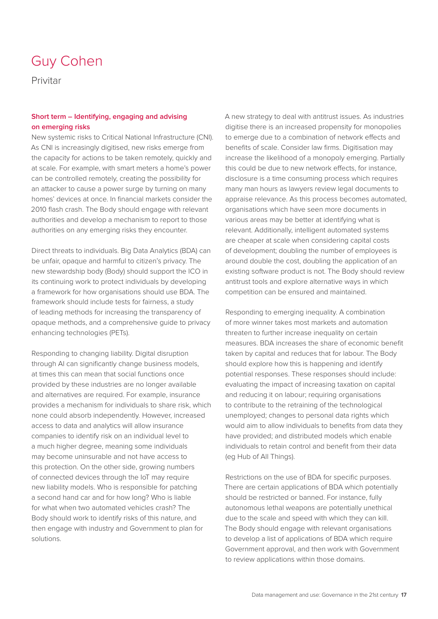### Guy Cohen

Privitar

#### **Short term – Identifying, engaging and advising on emerging risks**

New systemic risks to Critical National Infrastructure (CNI). As CNI is increasingly digitised, new risks emerge from the capacity for actions to be taken remotely, quickly and at scale. For example, with smart meters a home's power can be controlled remotely, creating the possibility for an attacker to cause a power surge by turning on many homes' devices at once. In financial markets consider the 2010 flash crash. The Body should engage with relevant authorities and develop a mechanism to report to those authorities on any emerging risks they encounter.

Direct threats to individuals. Big Data Analytics (BDA) can be unfair, opaque and harmful to citizen's privacy. The new stewardship body (Body) should support the ICO in its continuing work to protect individuals by developing a framework for how organisations should use BDA. The framework should include tests for fairness, a study of leading methods for increasing the transparency of opaque methods, and a comprehensive guide to privacy enhancing technologies (PETs).

Responding to changing liability. Digital disruption through AI can significantly change business models, at times this can mean that social functions once provided by these industries are no longer available and alternatives are required. For example, insurance provides a mechanism for individuals to share risk, which none could absorb independently. However, increased access to data and analytics will allow insurance companies to identify risk on an individual level to a much higher degree, meaning some individuals may become uninsurable and not have access to this protection. On the other side, growing numbers of connected devices through the IoT may require new liability models. Who is responsible for patching a second hand car and for how long? Who is liable for what when two automated vehicles crash? The Body should work to identify risks of this nature, and then engage with industry and Government to plan for solutions.

A new strategy to deal with antitrust issues. As industries digitise there is an increased propensity for monopolies to emerge due to a combination of network effects and benefits of scale. Consider law firms. Digitisation may increase the likelihood of a monopoly emerging. Partially this could be due to new network effects, for instance, disclosure is a time consuming process which requires many man hours as lawyers review legal documents to appraise relevance. As this process becomes automated, organisations which have seen more documents in various areas may be better at identifying what is relevant. Additionally, intelligent automated systems are cheaper at scale when considering capital costs of development; doubling the number of employees is around double the cost, doubling the application of an existing software product is not. The Body should review antitrust tools and explore alternative ways in which competition can be ensured and maintained.

Responding to emerging inequality. A combination of more winner takes most markets and automation threaten to further increase inequality on certain measures. BDA increases the share of economic benefit taken by capital and reduces that for labour. The Body should explore how this is happening and identify potential responses. These responses should include: evaluating the impact of increasing taxation on capital and reducing it on labour; requiring organisations to contribute to the retraining of the technological unemployed; changes to personal data rights which would aim to allow individuals to benefits from data they have provided; and distributed models which enable individuals to retain control and benefit from their data (eg Hub of All Things).

Restrictions on the use of BDA for specific purposes. There are certain applications of BDA which potentially should be restricted or banned. For instance, fully autonomous lethal weapons are potentially unethical due to the scale and speed with which they can kill. The Body should engage with relevant organisations to develop a list of applications of BDA which require Government approval, and then work with Government to review applications within those domains.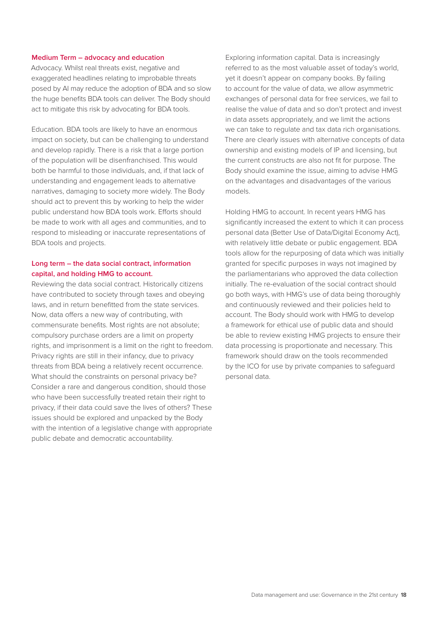#### **Medium Term – advocacy and education**

Advocacy. Whilst real threats exist, negative and exaggerated headlines relating to improbable threats posed by AI may reduce the adoption of BDA and so slow the huge benefits BDA tools can deliver. The Body should act to mitigate this risk by advocating for BDA tools.

Education. BDA tools are likely to have an enormous impact on society, but can be challenging to understand and develop rapidly. There is a risk that a large portion of the population will be disenfranchised. This would both be harmful to those individuals, and, if that lack of understanding and engagement leads to alternative narratives, damaging to society more widely. The Body should act to prevent this by working to help the wider public understand how BDA tools work. Efforts should be made to work with all ages and communities, and to respond to misleading or inaccurate representations of BDA tools and projects.

#### **Long term – the data social contract, information capital, and holding HMG to account.**

Reviewing the data social contract. Historically citizens have contributed to society through taxes and obeying laws, and in return benefitted from the state services. Now, data offers a new way of contributing, with commensurate benefits. Most rights are not absolute; compulsory purchase orders are a limit on property rights, and imprisonment is a limit on the right to freedom. Privacy rights are still in their infancy, due to privacy threats from BDA being a relatively recent occurrence. What should the constraints on personal privacy be? Consider a rare and dangerous condition, should those who have been successfully treated retain their right to privacy, if their data could save the lives of others? These issues should be explored and unpacked by the Body with the intention of a legislative change with appropriate public debate and democratic accountability.

Exploring information capital. Data is increasingly referred to as the most valuable asset of today's world, yet it doesn't appear on company books. By failing to account for the value of data, we allow asymmetric exchanges of personal data for free services, we fail to realise the value of data and so don't protect and invest in data assets appropriately, and we limit the actions we can take to regulate and tax data rich organisations. There are clearly issues with alternative concepts of data ownership and existing models of IP and licensing, but the current constructs are also not fit for purpose. The Body should examine the issue, aiming to advise HMG on the advantages and disadvantages of the various models.

Holding HMG to account. In recent years HMG has significantly increased the extent to which it can process personal data (Better Use of Data/Digital Economy Act), with relatively little debate or public engagement. BDA tools allow for the repurposing of data which was initially granted for specific purposes in ways not imagined by the parliamentarians who approved the data collection initially. The re-evaluation of the social contract should go both ways, with HMG's use of data being thoroughly and continuously reviewed and their policies held to account. The Body should work with HMG to develop a framework for ethical use of public data and should be able to review existing HMG projects to ensure their data processing is proportionate and necessary. This framework should draw on the tools recommended by the ICO for use by private companies to safeguard personal data.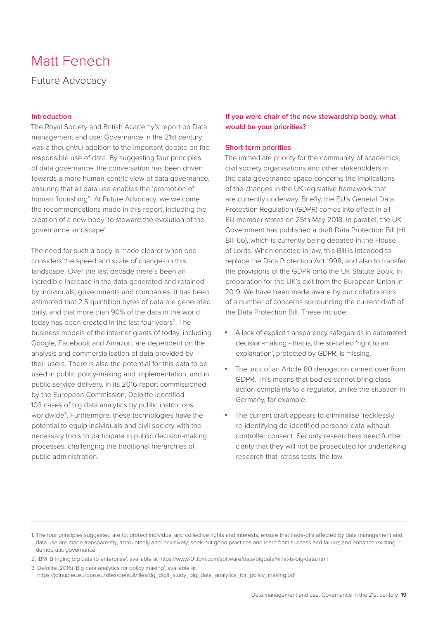### Matt Fenech

Future Advocacy

#### **Introduction**

The Royal Society and British Academy's report on Data management and use: Governance in the 21st century was a thoughtful addition to the important debate on the responsible use of data. By suggesting four principles of data governance, the conversation has been driven towards a more human-centric view of data governance, ensuring that all data use enables the 'promotion of human flourishing'1 . At Future Advocacy, we welcome the recommendations made in this report, including the creation of a new body 'to steward the evolution of the governance landscape'.

The need for such a body is made clearer when one considers the speed and scale of changes in this landscape. Over the last decade there's been an incredible increase in the data generated and retained by individuals, governments and companies. It has been estimated that 2.5 quintillion bytes of data are generated daily, and that more than 90% of the data in the world today has been created in the last four years<sup>2</sup>. The business models of the internet giants of today, including Google, Facebook and Amazon, are dependent on the analysis and commercialisation of data provided by their users. There is also the potential for this data to be used in public policy-making and implementation, and in public service delivery. In its 2016 report commissioned by the European Commission, Deloitte identified 103 cases of big data analytics by public institutions worldwide3 . Furthermore, these technologies have the potential to equip individuals and civil society with the necessary tools to participate in public decision-making processes, challenging the traditional hierarchies of public administration.

#### **If you were chair of the new stewardship body, what would be your priorities?**

#### **Short-term priorities**

The immediate priority for the community of academics, civil society organisations and other stakeholders in the data governance space concerns the implications of the changes in the UK legislative framework that are currently underway. Briefly, the EU's General Data Protection Regulation (GDPR) comes into effect in all EU member states on 25th May 2018. In parallel, the UK Government has published a draft Data Protection Bill (HL Bill 66), which is currently being debated in the House of Lords. When enacted in law, this Bill is intended to replace the Data Protection Act 1998, and also to transfer the provisions of the GDPR onto the UK Statute Book, in preparation for the UK's exit from the European Union in 2019. We have been made aware by our collaborators of a number of concerns surrounding the current draft of the Data Protection Bill. These include:

- • A lack of explicit transparency safeguards in automated decision-making - that is, the so-called 'right to an explanation', protected by GDPR, is missing.
- The lack of an Article 80 derogation carried over from GDPR. This means that bodies cannot bring class action complaints to a regulator, unlike the situation in Germany, for example.
- The current draft appears to criminalise 'recklessly' re-identifying de-identified personal data without controller consent. Security researchers need further clarity that they will not be prosecuted for undertaking research that 'stress tests' the law.

<sup>1.</sup> The four principles suggested are to: protect individual and collective rights and interests; ensure that trade-offs affected by data management and data use are made transparently, accountably and inclusively; seek out good practices and learn from success and failure; and enhance existing democratic governance

<sup>2.</sup> IBM 'Bringing big data to enterprise', available at [https://www-01.ibm.com/software/data/bigdata/what-is-big-data.html](https://www.ibm.com/analytics/hadoop/big-data-analytics)

<sup>3.</sup> Deloitte (2016) 'Big data analytics for policy making', available at [https://joinup.ec.europa.eu/sites/default/files/dg\\_digit\\_study\\_big\\_data\\_analytics\\_for\\_policy\\_making.pdf](https://joinup.ec.europa.eu/sites/default/files/dg_digit_study_big_data_analytics_for_policy_making.pdf)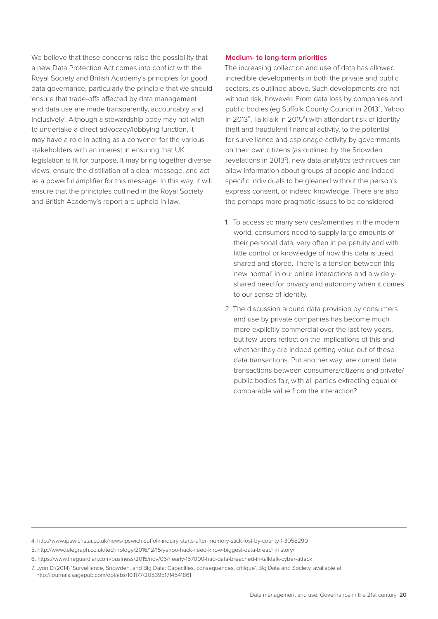We believe that these concerns raise the possibility that a new Data Protection Act comes into conflict with the Royal Society and British Academy's principles for good data governance, particularly the principle that we should 'ensure that trade-offs affected by data management and data use are made transparently, accountably and inclusively'. Although a stewardship body may not wish to undertake a direct advocacy/lobbying function, it may have a role in acting as a convener for the various stakeholders with an interest in ensuring that UK legislation is fit for purpose. It may bring together diverse views, ensure the distillation of a clear message, and act as a powerful amplifier for this message. In this way, it will ensure that the principles outlined in the Royal Society and British Academy's report are upheld in law.

#### **Medium- to long-term priorities**

The increasing collection and use of data has allowed incredible developments in both the private and public sectors, as outlined above. Such developments are not without risk, however. From data loss by companies and public bodies (eg Suffolk County Council in 20134 , Yahoo in 2013<sup>5</sup>, TalkTalk in 2015<sup>6</sup>) with attendant risk of identity theft and fraudulent financial activity, to the potential for surveillance and espionage activity by governments on their own citizens (as outlined by the Snowden revelations in 2013<sup>7</sup>), new data analytics techniques can allow information about groups of people and indeed specific individuals to be gleaned without the person's express consent, or indeed knowledge. There are also the perhaps more pragmatic issues to be considered:

- 1. To access so many services/amenities in the modern world, consumers need to supply large amounts of their personal data, very often in perpetuity and with little control or knowledge of how this data is used, shared and stored. There is a tension between this 'new normal' in our online interactions and a widelyshared need for privacy and autonomy when it comes to our sense of identity.
- 2. The discussion around data provision by consumers and use by private companies has become much more explicitly commercial over the last few years, but few users reflect on the implications of this and whether they are indeed getting value out of these data transactions. Put another way: are current data transactions between consumers/citizens and private/ public bodies fair, with all parties extracting equal or comparable value from the interaction?

<sup>4.</sup> [http://www.ipswichstar.co.uk/news/ipswich-suffolk-inquiry-starts-after-memory-stick-lost-by-county-1-3058290](http://www.ipswichstar.co.uk/news/ipswich-suffolk-inquiry-starts-after-memory-stick-lost-by-county-1-3058290
)

<sup>5.</sup> http://www.telegraph.co.uk/technology/2016/12/15/yahoo-hack-need-know-biggest-data-breach-history/

<sup>6.</sup> https://www.theguardian.com/business/2015/nov/06/nearly-157000-had-data-breached-in-talktalk-cyber-attack

<sup>7.</sup> Lyon D (2014) 'Surveillance, Snowden, and Big Data: Capacities, consequences, critique', Big Data and Society, available at http://journals.sagepub.com/doi/abs/10.1177/2053951714541861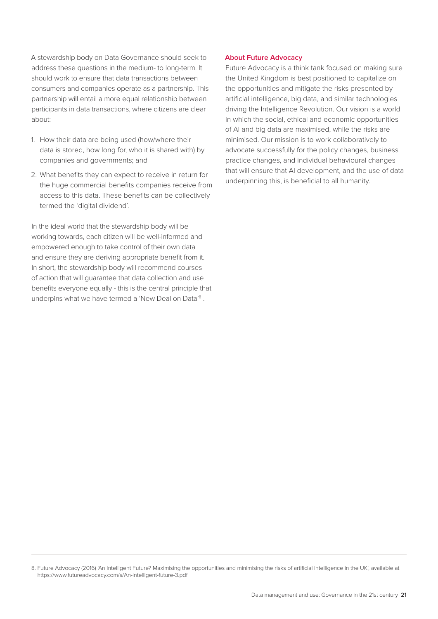A stewardship body on Data Governance should seek to address these questions in the medium- to long-term. It should work to ensure that data transactions between consumers and companies operate as a partnership. This partnership will entail a more equal relationship between participants in data transactions, where citizens are clear about:

- 1. How their data are being used (how/where their data is stored, how long for, who it is shared with) by companies and governments; and
- 2. What benefits they can expect to receive in return for the huge commercial benefits companies receive from access to this data. These benefits can be collectively termed the 'digital dividend'.

In the ideal world that the stewardship body will be working towards, each citizen will be well-informed and empowered enough to take control of their own data and ensure they are deriving appropriate benefit from it. In short, the stewardship body will recommend courses of action that will guarantee that data collection and use benefits everyone equally - this is the central principle that underpins what we have termed a 'New Deal on Data'<sup>8</sup>.

#### **About Future Advocacy**

Future Advocacy is a think tank focused on making sure the United Kingdom is best positioned to capitalize on the opportunities and mitigate the risks presented by artificial intelligence, big data, and similar technologies driving the Intelligence Revolution. Our vision is a world in which the social, ethical and economic opportunities of AI and big data are maximised, while the risks are minimised. Our mission is to work collaboratively to advocate successfully for the policy changes, business practice changes, and individual behavioural changes that will ensure that AI development, and the use of data underpinning this, is beneficial to all humanity.

<sup>8.</sup> Future Advocacy (2016) 'An Intelligent Future? Maximising the opportunities and minimising the risks of artificial intelligence in the UK', available at https://www.futureadvocacy.com/s/An-intelligent-future-3.pdf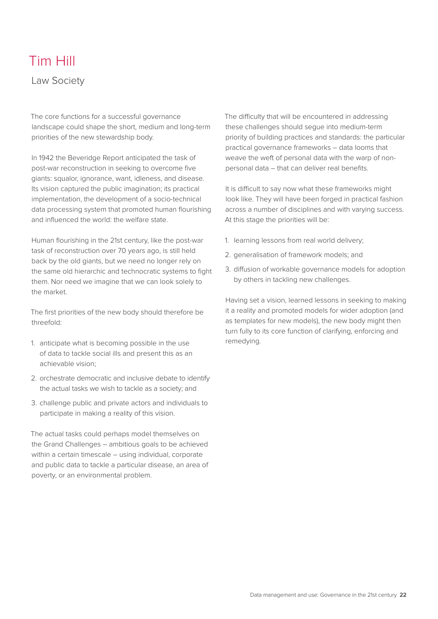### Tim Hill

Law Society

The core functions for a successful governance landscape could shape the short, medium and long-term priorities of the new stewardship body.

In 1942 the Beveridge Report anticipated the task of post-war reconstruction in seeking to overcome five giants: squalor, ignorance, want, idleness, and disease. Its vision captured the public imagination; its practical implementation, the development of a socio-technical data processing system that promoted human flourishing and influenced the world: the welfare state.

Human flourishing in the 21st century, like the post-war task of reconstruction over 70 years ago, is still held back by the old giants, but we need no longer rely on the same old hierarchic and technocratic systems to fight them. Nor need we imagine that we can look solely to the market.

The first priorities of the new body should therefore be threefold:

- 1. anticipate what is becoming possible in the use of data to tackle social ills and present this as an achievable vision;
- 2. orchestrate democratic and inclusive debate to identify the actual tasks we wish to tackle as a society; and
- 3. challenge public and private actors and individuals to participate in making a reality of this vision.

The actual tasks could perhaps model themselves on the Grand Challenges – ambitious goals to be achieved within a certain timescale – using individual, corporate and public data to tackle a particular disease, an area of poverty, or an environmental problem.

The difficulty that will be encountered in addressing these challenges should segue into medium-term priority of building practices and standards: the particular practical governance frameworks – data looms that weave the weft of personal data with the warp of nonpersonal data – that can deliver real benefits.

It is difficult to say now what these frameworks might look like. They will have been forged in practical fashion across a number of disciplines and with varying success. At this stage the priorities will be:

- 1. learning lessons from real world delivery;
- 2. generalisation of framework models; and
- 3. diffusion of workable governance models for adoption by others in tackling new challenges.

Having set a vision, learned lessons in seeking to making it a reality and promoted models for wider adoption (and as templates for new models), the new body might then turn fully to its core function of clarifying, enforcing and remedying.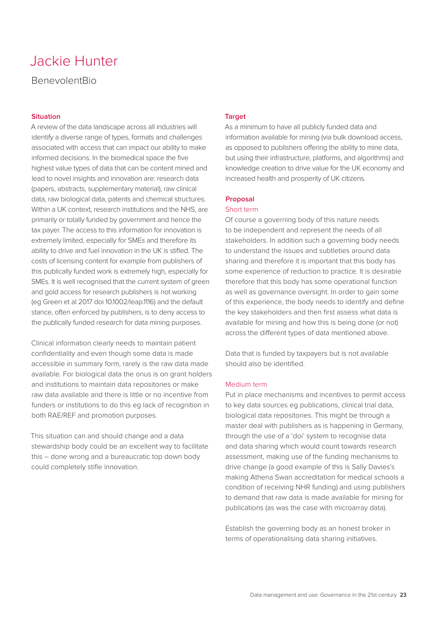### Jackie Hunter

#### BenevolentBio

#### **Situation**

A review of the data landscape across all industries will identify a diverse range of types, formats and challenges associated with access that can impact our ability to make informed decisions. In the biomedical space the five highest value types of data that can be content mined and lead to novel insights and innovation are: research data (papers, abstracts, supplementary material), raw clinical data, raw biological data, patents and chemical structures. Within a UK context, research institutions and the NHS, are primarily or totally funded by government and hence the tax payer. The access to this information for innovation is extremely limited, especially for SMEs and therefore its ability to drive and fuel innovation in the UK is stifled. The costs of licensing content for example from publishers of this publically funded work is extremely high, especially for SMEs. It is well recognised that the current system of green and gold access for research publishers is not working (eg Green et al 2017 doi 10.1002/leap.1116) and the default stance, often enforced by publishers, is to deny access to the publically funded research for data mining purposes.

Clinical information clearly needs to maintain patient confidentiality and even though some data is made accessible in summary form, rarely is the raw data made available. For biological data the onus is on grant holders and institutions to maintain data repositories or make raw data available and there is little or no incentive from funders or institutions to do this eg lack of recognition in both RAE/REF and promotion purposes.

This situation can and should change and a data stewardship body could be an excellent way to facilitate this – done wrong and a bureaucratic top down body could completely stifle innovation.

#### **Target**

As a minimum to have all publicly funded data and information available for mining (via bulk download access, as opposed to publishers offering the ability to mine data, but using their infrastructure, platforms, and algorithms) and knowledge creation to drive value for the UK economy and increased health and prosperity of UK citizens.

#### **Proposal**

#### Short term

Of course a governing body of this nature needs to be independent and represent the needs of all stakeholders. In addition such a governing body needs to understand the issues and subtleties around data sharing and therefore it is important that this body has some experience of reduction to practice. It is desirable therefore that this body has some operational function as well as governance oversight. In order to gain some of this experience, the body needs to identify and define the key stakeholders and then first assess what data is available for mining and how this is being done (or not) across the different types of data mentioned above.

Data that is funded by taxpayers but is not available should also be identified.

#### Medium term

Put in place mechanisms and incentives to permit access to key data sources eg publications, clinical trial data, biological data repositories. This might be through a master deal with publishers as is happening in Germany, through the use of a 'doi' system to recognise data and data sharing which would count towards research assessment, making use of the funding mechanisms to drive change (a good example of this is Sally Davies's making Athena Swan accreditation for medical schools a condition of receiving NHR funding) and using publishers to demand that raw data is made available for mining for publications (as was the case with microarray data).

Establish the governing body as an honest broker in terms of operationalising data sharing initiatives.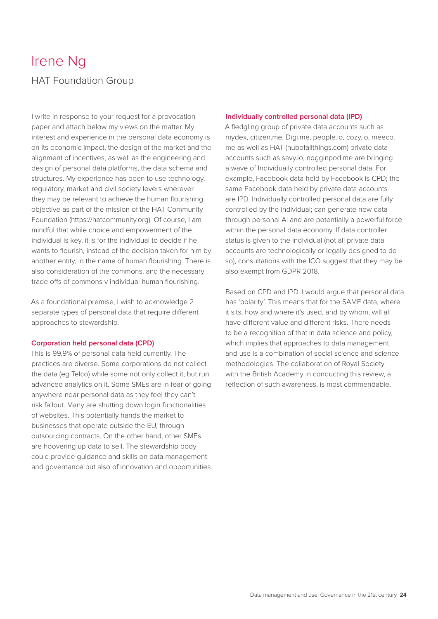### Irene Ng HAT Foundation Group

I write in response to your request for a provocation paper and attach below my views on the matter. My interest and experience in the personal data economy is on its economic impact, the design of the market and the alignment of incentives, as well as the engineering and design of personal data platforms, the data schema and structures. My experience has been to use technology, regulatory, market and civil society levers wherever they may be relevant to achieve the human flourishing objective as part of the mission of the HAT Community Foundation (https://hatcommunity.org). Of course, I am mindful that while choice and empowerment of the individual is key, it is for the individual to decide if he wants to flourish, instead of the decision taken for him by another entity, in the name of human flourishing. There is also consideration of the commons, and the necessary trade offs of commons v individual human flourishing.

As a foundational premise, I wish to acknowledge 2 separate types of personal data that require different approaches to stewardship.

#### **Corporation held personal data (CPD)**

This is 99.9% of personal data held currently. The practices are diverse. Some corporations do not collect the data (eg Telco) while some not only collect it, but run advanced analytics on it. Some SMEs are in fear of going anywhere near personal data as they feel they can't risk fallout. Many are shutting down login functionalities of websites. This potentially hands the market to businesses that operate outside the EU, through outsourcing contracts. On the other hand, other SMEs are hoovering up data to sell. The stewardship body could provide guidance and skills on data management and governance but also of innovation and opportunities.

#### **Individually controlled personal data (IPD)**

A fledgling group of private data accounts such as mydex, citizen.me, Digi.me, people.io, cozy.io, meeco. me as well as HAT (hubofallthings.com) private data accounts such as savy.io, nogginpod.me are bringing a wave of Individually controlled personal data. For example, Facebook data held by Facebook is CPD; the same Facebook data held by private data accounts are IPD. Individually controlled personal data are fully controlled by the individual; can generate new data through personal AI and are potentially a powerful force within the personal data economy. If data controller status is given to the individual (not all private data accounts are technologically or legally designed to do so), consultations with the ICO suggest that they may be also exempt from GDPR 2018.

Based on CPD and IPD, I would argue that personal data has 'polarity'. This means that for the SAME data, where it sits, how and where it's used, and by whom, will all have different value and different risks. There needs to be a recognition of that in data science and policy, which implies that approaches to data management and use is a combination of social science and science methodologies. The collaboration of Royal Society with the British Academy in conducting this review, a reflection of such awareness, is most commendable.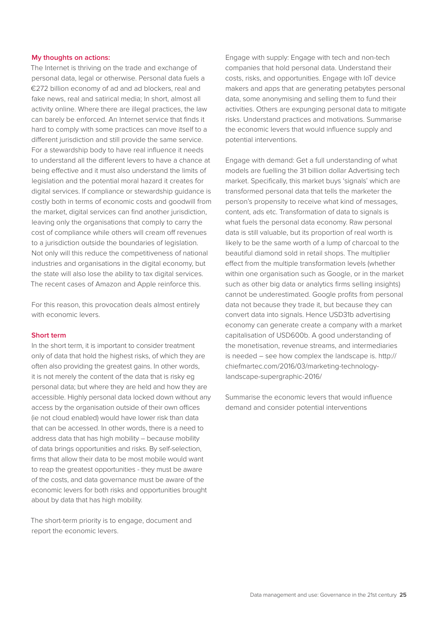#### **My thoughts on actions:**

The Internet is thriving on the trade and exchange of personal data, legal or otherwise. Personal data fuels a €272 billion economy of ad and ad blockers, real and fake news, real and satirical media; In short, almost all activity online. Where there are illegal practices, the law can barely be enforced. An Internet service that finds it hard to comply with some practices can move itself to a different jurisdiction and still provide the same service. For a stewardship body to have real influence it needs to understand all the different levers to have a chance at being effective and it must also understand the limits of legislation and the potential moral hazard it creates for digital services. If compliance or stewardship guidance is costly both in terms of economic costs and goodwill from the market, digital services can find another jurisdiction, leaving only the organisations that comply to carry the cost of compliance while others will cream off revenues to a jurisdiction outside the boundaries of legislation. Not only will this reduce the competitiveness of national industries and organisations in the digital economy, but the state will also lose the ability to tax digital services. The recent cases of Amazon and Apple reinforce this.

For this reason, this provocation deals almost entirely with economic levers.

#### **Short term**

In the short term, it is important to consider treatment only of data that hold the highest risks, of which they are often also providing the greatest gains. In other words, it is not merely the content of the data that is risky eg personal data; but where they are held and how they are accessible. Highly personal data locked down without any access by the organisation outside of their own offices (ie not cloud enabled) would have lower risk than data that can be accessed. In other words, there is a need to address data that has high mobility – because mobility of data brings opportunities and risks. By self-selection, firms that allow their data to be most mobile would want to reap the greatest opportunities - they must be aware of the costs, and data governance must be aware of the economic levers for both risks and opportunities brought about by data that has high mobility.

The short-term priority is to engage, document and report the economic levers.

Engage with supply: Engage with tech and non-tech companies that hold personal data. Understand their costs, risks, and opportunities. Engage with IoT device makers and apps that are generating petabytes personal data, some anonymising and selling them to fund their activities. Others are expunging personal data to mitigate risks. Understand practices and motivations. Summarise the economic levers that would influence supply and potential interventions.

Engage with demand: Get a full understanding of what models are fuelling the 31 billion dollar Advertising tech market. Specifically, this market buys 'signals' which are transformed personal data that tells the marketer the person's propensity to receive what kind of messages, content, ads etc. Transformation of data to signals is what fuels the personal data economy. Raw personal data is still valuable, but its proportion of real worth is likely to be the same worth of a lump of charcoal to the beautiful diamond sold in retail shops. The multiplier effect from the multiple transformation levels (whether within one organisation such as Google, or in the market such as other big data or analytics firms selling insights) cannot be underestimated. Google profits from personal data not because they trade it, but because they can convert data into signals. Hence USD31b advertising economy can generate create a company with a market capitalisation of USD600b. A good understanding of the monetisation, revenue streams, and intermediaries is needed – see how complex the landscape is. http:// chiefmartec.com/2016/03/marketing-technologylandscape-supergraphic-2016/

Summarise the economic levers that would influence demand and consider potential interventions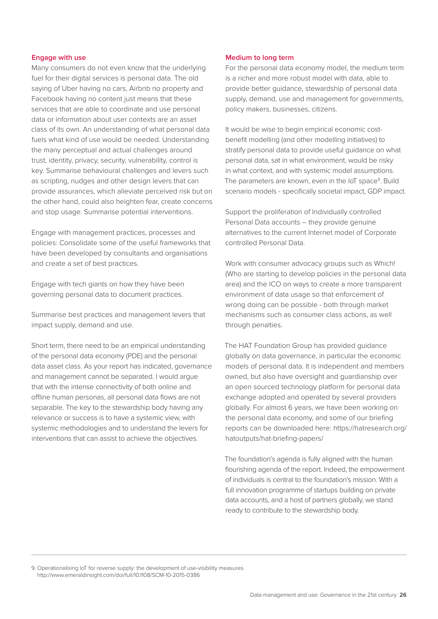#### **Engage with use**

Many consumers do not even know that the underlying fuel for their digital services is personal data. The old saying of Uber having no cars, Airbnb no property and Facebook having no content just means that these services that are able to coordinate and use personal data or information about user contexts are an asset class of its own. An understanding of what personal data fuels what kind of use would be needed. Understanding the many perceptual and actual challenges around trust, identity, privacy, security, vulnerability, control is key. Summarise behavioural challenges and levers such as scripting, nudges and other design levers that can provide assurances, which alleviate perceived risk but on the other hand, could also heighten fear, create concerns and stop usage. Summarise potential interventions.

Engage with management practices, processes and policies: Consolidate some of the useful frameworks that have been developed by consultants and organisations and create a set of best practices.

Engage with tech giants on how they have been governing personal data to document practices.

Summarise best practices and management levers that impact supply, demand and use.

Short term, there need to be an empirical understanding of the personal data economy (PDE) and the personal data asset class. As your report has indicated, governance and management cannot be separated. I would argue that with the intense connectivity of both online and offline human personas, all personal data flows are not separable. The key to the stewardship body having any relevance or success is to have a systemic view, with systemic methodologies and to understand the levers for interventions that can assist to achieve the objectives.

#### **Medium to long term**

For the personal data economy model, the medium term is a richer and more robust model with data, able to provide better guidance, stewardship of personal data supply, demand, use and management for governments, policy makers, businesses, citizens.

It would be wise to begin empirical economic costbenefit modelling (and other modelling initiatives) to stratify personal data to provide useful guidance on what personal data, sat in what environment, would be risky in what context, and with systemic model assumptions. The parameters are known, even in the IoT space<sup>9</sup>. Build scenario models - specifically societal impact, GDP impact.

Support the proliferation of Individually controlled Personal Data accounts – they provide genuine alternatives to the current Internet model of Corporate controlled Personal Data.

Work with consumer advocacy groups such as Which! (Who are starting to develop policies in the personal data area) and the ICO on ways to create a more transparent environment of data usage so that enforcement of wrong doing can be possible - both through market mechanisms such as consumer class actions, as well through penalties.

The HAT Foundation Group has provided guidance globally on data governance, in particular the economic models of personal data. It is independent and members owned, but also have oversight and guardianship over an open sourced technology platform for personal data exchange adopted and operated by several providers globally. For almost 6 years, we have been working on the personal data economy, and some of our briefing reports can be downloaded here: https://hatresearch.org/ hatoutputs/hat-briefing-papers/

The foundation's agenda is fully aligned with the human flourishing agenda of the report. Indeed, the empowerment of individuals is central to the foundation's mission. With a full innovation programme of startups building on private data accounts, and a host of partners globally, we stand ready to contribute to the stewardship body.

9. Operationalising IoT for reverse supply: the development of use-visibility measures http://www.emeraldinsight.com/doi/full/10.1108/SCM-10-2015-0386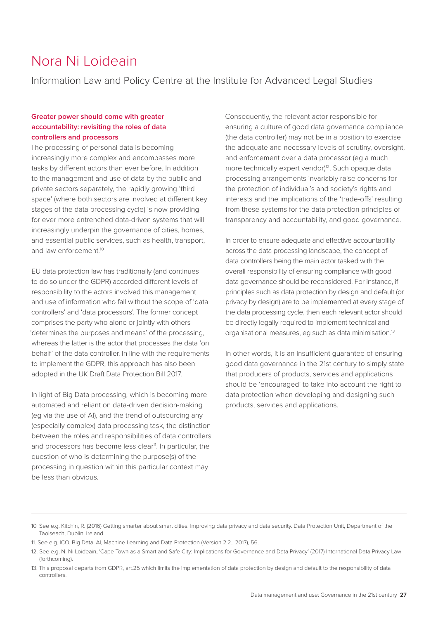### Nora Ni Loideain

Information Law and Policy Centre at the Institute for Advanced Legal Studies

#### **Greater power should come with greater accountability: revisiting the roles of data controllers and processors**

The processing of personal data is becoming increasingly more complex and encompasses more tasks by different actors than ever before. In addition to the management and use of data by the public and private sectors separately, the rapidly growing 'third space' (where both sectors are involved at different key stages of the data processing cycle) is now providing for ever more entrenched data-driven systems that will increasingly underpin the governance of cities, homes, and essential public services, such as health, transport, and law enforcement<sup>10</sup>

EU data protection law has traditionally (and continues to do so under the GDPR) accorded different levels of responsibility to the actors involved this management and use of information who fall without the scope of 'data controllers' and 'data processors'. The former concept comprises the party who alone or jointly with others 'determines the purposes and means' of the processing, whereas the latter is the actor that processes the data 'on behalf' of the data controller. In line with the requirements to implement the GDPR, this approach has also been adopted in the UK Draft Data Protection Bill 2017.

In light of Big Data processing, which is becoming more automated and reliant on data-driven decision-making (eg via the use of AI), and the trend of outsourcing any (especially complex) data processing task, the distinction between the roles and responsibilities of data controllers and processors has become less clear<sup>11</sup>. In particular, the question of who is determining the purpose(s) of the processing in question within this particular context may be less than obvious.

Consequently, the relevant actor responsible for ensuring a culture of good data governance compliance (the data controller) may not be in a position to exercise the adequate and necessary levels of scrutiny, oversight, and enforcement over a data processor (eg a much more technically expert vendor)<sup>12</sup>. Such opaque data processing arrangements invariably raise concerns for the protection of individual's and society's rights and interests and the implications of the 'trade-offs' resulting from these systems for the data protection principles of transparency and accountability, and good governance.

In order to ensure adequate and effective accountability across the data processing landscape, the concept of data controllers being the main actor tasked with the overall responsibility of ensuring compliance with good data governance should be reconsidered. For instance, if principles such as data protection by design and default (or privacy by design) are to be implemented at every stage of the data processing cycle, then each relevant actor should be directly legally required to implement technical and organisational measures, eg such as data minimisation.13

In other words, it is an insufficient guarantee of ensuring good data governance in the 21st century to simply state that producers of products, services and applications should be 'encouraged' to take into account the right to data protection when developing and designing such products, services and applications.

<sup>10.</sup> See e.g. Kitchin, R. (2016) Getting smarter about smart cities: Improving data privacy and data security. Data Protection Unit, Department of the Taoiseach, Dublin, Ireland.

<sup>11.</sup> See e.g. ICO, Big Data, AI, Machine Learning and Data Protection (Version 2.2., 2017), 56.

<sup>12.</sup> See e.g. N. Ni Loideain, 'Cape Town as a Smart and Safe City: Implications for Governance and Data Privacy' (2017) International Data Privacy Law (forthcoming).

<sup>13.</sup> This proposal departs from GDPR, art.25 which limits the implementation of data protection by design and default to the responsibility of data controllers.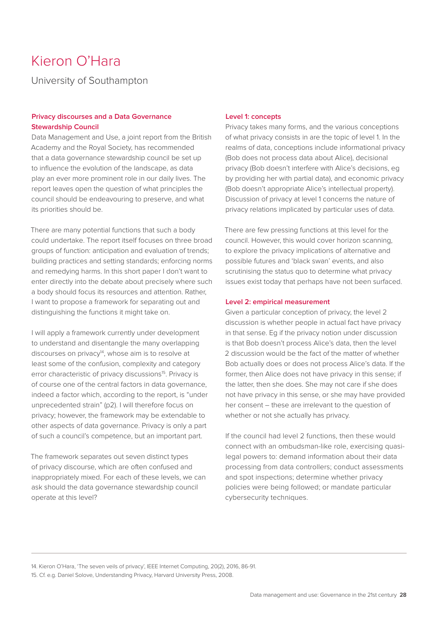### Kieron O'Hara

University of Southampton

#### **Privacy discourses and a Data Governance Stewardship Council**

Data Management and Use, a joint report from the British Academy and the Royal Society, has recommended that a data governance stewardship council be set up to influence the evolution of the landscape, as data play an ever more prominent role in our daily lives. The report leaves open the question of what principles the council should be endeavouring to preserve, and what its priorities should be.

There are many potential functions that such a body could undertake. The report itself focuses on three broad groups of function: anticipation and evaluation of trends; building practices and setting standards; enforcing norms and remedying harms. In this short paper I don't want to enter directly into the debate about precisely where such a body should focus its resources and attention. Rather, I want to propose a framework for separating out and distinguishing the functions it might take on.

I will apply a framework currently under development to understand and disentangle the many overlapping discourses on privacy<sup>14</sup>, whose aim is to resolve at least some of the confusion, complexity and category error characteristic of privacy discussions<sup>15</sup>. Privacy is of course one of the central factors in data governance, indeed a factor which, according to the report, is "under unprecedented strain" (p2). I will therefore focus on privacy; however, the framework may be extendable to other aspects of data governance. Privacy is only a part of such a council's competence, but an important part.

The framework separates out seven distinct types of privacy discourse, which are often confused and inappropriately mixed. For each of these levels, we can ask should the data governance stewardship council operate at this level?

#### **Level 1: concepts**

Privacy takes many forms, and the various conceptions of what privacy consists in are the topic of level 1. In the realms of data, conceptions include informational privacy (Bob does not process data about Alice), decisional privacy (Bob doesn't interfere with Alice's decisions, eg by providing her with partial data), and economic privacy (Bob doesn't appropriate Alice's intellectual property). Discussion of privacy at level 1 concerns the nature of privacy relations implicated by particular uses of data.

There are few pressing functions at this level for the council. However, this would cover horizon scanning, to explore the privacy implications of alternative and possible futures and 'black swan' events, and also scrutinising the status quo to determine what privacy issues exist today that perhaps have not been surfaced.

#### **Level 2: empirical measurement**

Given a particular conception of privacy, the level 2 discussion is whether people in actual fact have privacy in that sense. Eg if the privacy notion under discussion is that Bob doesn't process Alice's data, then the level 2 discussion would be the fact of the matter of whether Bob actually does or does not process Alice's data. If the former, then Alice does not have privacy in this sense; if the latter, then she does. She may not care if she does not have privacy in this sense, or she may have provided her consent – these are irrelevant to the question of whether or not she actually has privacy.

If the council had level 2 functions, then these would connect with an ombudsman-like role, exercising quasilegal powers to: demand information about their data processing from data controllers; conduct assessments and spot inspections; determine whether privacy policies were being followed; or mandate particular cybersecurity techniques.

14. Kieron O'Hara, 'The seven veils of privacy', IEEE Internet Computing, 20(2), 2016, 86-91. 15. Cf. e.g. Daniel Solove, Understanding Privacy, Harvard University Press, 2008.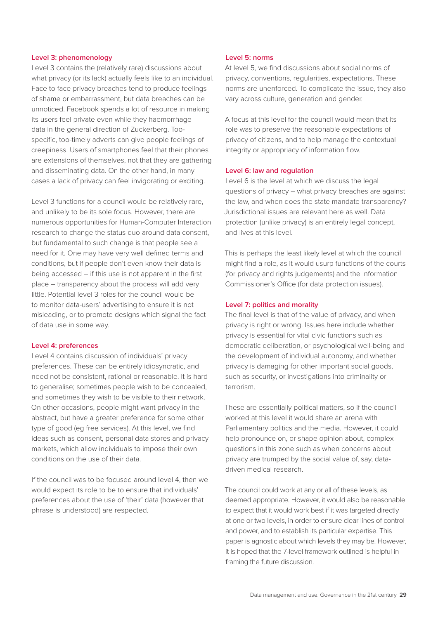#### **Level 3: phenomenology**

Level 3 contains the (relatively rare) discussions about what privacy (or its lack) actually feels like to an individual. Face to face privacy breaches tend to produce feelings of shame or embarrassment, but data breaches can be unnoticed. Facebook spends a lot of resource in making its users feel private even while they haemorrhage data in the general direction of Zuckerberg. Toospecific, too-timely adverts can give people feelings of creepiness. Users of smartphones feel that their phones are extensions of themselves, not that they are gathering and disseminating data. On the other hand, in many cases a lack of privacy can feel invigorating or exciting.

Level 3 functions for a council would be relatively rare, and unlikely to be its sole focus. However, there are numerous opportunities for Human-Computer Interaction research to change the status quo around data consent, but fundamental to such change is that people see a need for it. One may have very well defined terms and conditions, but if people don't even know their data is being accessed – if this use is not apparent in the first place – transparency about the process will add very little. Potential level 3 roles for the council would be to monitor data-users' advertising to ensure it is not misleading, or to promote designs which signal the fact of data use in some way.

#### **Level 4: preferences**

Level 4 contains discussion of individuals' privacy preferences. These can be entirely idiosyncratic, and need not be consistent, rational or reasonable. It is hard to generalise; sometimes people wish to be concealed, and sometimes they wish to be visible to their network. On other occasions, people might want privacy in the abstract, but have a greater preference for some other type of good (eg free services). At this level, we find ideas such as consent, personal data stores and privacy markets, which allow individuals to impose their own conditions on the use of their data.

If the council was to be focused around level 4, then we would expect its role to be to ensure that individuals' preferences about the use of 'their' data (however that phrase is understood) are respected.

#### **Level 5: norms**

At level 5, we find discussions about social norms of privacy, conventions, regularities, expectations. These norms are unenforced. To complicate the issue, they also vary across culture, generation and gender.

A focus at this level for the council would mean that its role was to preserve the reasonable expectations of privacy of citizens, and to help manage the contextual integrity or appropriacy of information flow.

#### **Level 6: law and regulation**

Level 6 is the level at which we discuss the legal questions of privacy – what privacy breaches are against the law, and when does the state mandate transparency? Jurisdictional issues are relevant here as well. Data protection (unlike privacy) is an entirely legal concept, and lives at this level.

This is perhaps the least likely level at which the council might find a role, as it would usurp functions of the courts (for privacy and rights judgements) and the Information Commissioner's Office (for data protection issues).

#### **Level 7: politics and morality**

The final level is that of the value of privacy, and when privacy is right or wrong. Issues here include whether privacy is essential for vital civic functions such as democratic deliberation, or psychological well-being and the development of individual autonomy, and whether privacy is damaging for other important social goods, such as security, or investigations into criminality or terrorism.

These are essentially political matters, so if the council worked at this level it would share an arena with Parliamentary politics and the media. However, it could help pronounce on, or shape opinion about, complex questions in this zone such as when concerns about privacy are trumped by the social value of, say, datadriven medical research.

The council could work at any or all of these levels, as deemed appropriate. However, it would also be reasonable to expect that it would work best if it was targeted directly at one or two levels, in order to ensure clear lines of control and power, and to establish its particular expertise. This paper is agnostic about which levels they may be. However, it is hoped that the 7-level framework outlined is helpful in framing the future discussion.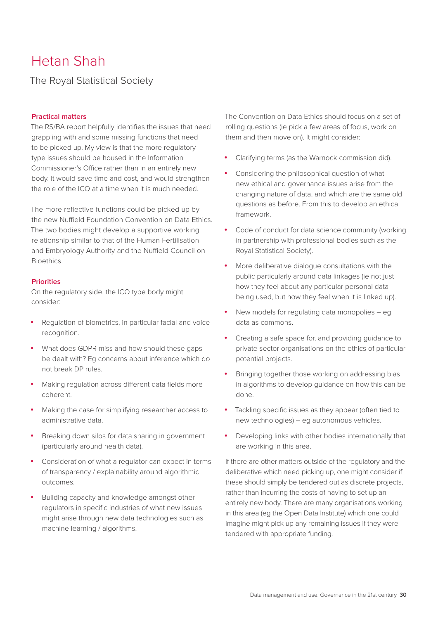### Hetan Shah

The Royal Statistical Society

#### **Practical matters**

The RS/BA report helpfully identifies the issues that need grappling with and some missing functions that need to be picked up. My view is that the more regulatory type issues should be housed in the Information Commissioner's Office rather than in an entirely new body. It would save time and cost, and would strengthen the role of the ICO at a time when it is much needed.

The more reflective functions could be picked up by the new Nuffield Foundation Convention on Data Ethics. The two bodies might develop a supportive working relationship similar to that of the Human Fertilisation and Embryology Authority and the Nuffield Council on **Bioethics** 

#### **Priorities**

On the regulatory side, the ICO type body might consider:

- • Regulation of biometrics, in particular facial and voice recognition.
- What does GDPR miss and how should these gaps be dealt with? Eg concerns about inference which do not break DP rules.
- Making regulation across different data fields more coherent.
- Making the case for simplifying researcher access to administrative data.
- Breaking down silos for data sharing in government (particularly around health data).
- Consideration of what a regulator can expect in terms of transparency / explainability around algorithmic outcomes.
- Building capacity and knowledge amongst other regulators in specific industries of what new issues might arise through new data technologies such as machine learning / algorithms.

The Convention on Data Ethics should focus on a set of rolling questions (ie pick a few areas of focus, work on them and then move on). It might consider:

- • Clarifying terms (as the Warnock commission did).
- Considering the philosophical question of what new ethical and governance issues arise from the changing nature of data, and which are the same old questions as before. From this to develop an ethical framework.
- Code of conduct for data science community (working in partnership with professional bodies such as the Royal Statistical Society).
- More deliberative dialogue consultations with the public particularly around data linkages (ie not just how they feel about any particular personal data being used, but how they feel when it is linked up).
- New models for regulating data monopolies  $-$  eg data as commons.
- • Creating a safe space for, and providing guidance to private sector organisations on the ethics of particular potential projects.
- Bringing together those working on addressing bias in algorithms to develop guidance on how this can be done.
- Tackling specific issues as they appear (often tied to new technologies) – eg autonomous vehicles.
- Developing links with other bodies internationally that are working in this area.

If there are other matters outside of the regulatory and the deliberative which need picking up, one might consider if these should simply be tendered out as discrete projects, rather than incurring the costs of having to set up an entirely new body. There are many organisations working in this area (eg the Open Data Institute) which one could imagine might pick up any remaining issues if they were tendered with appropriate funding.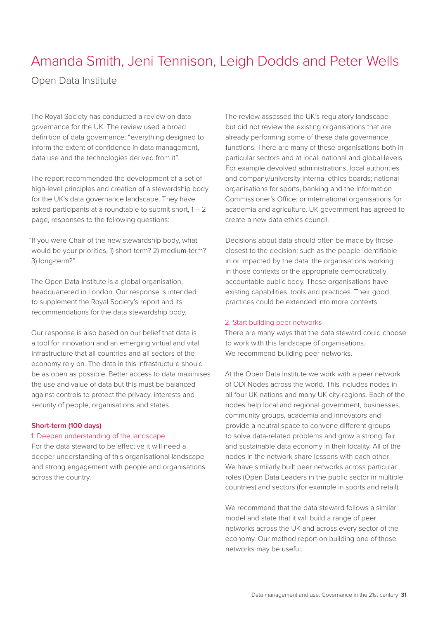### Amanda Smith, Jeni Tennison, Leigh Dodds and Peter Wells

Open Data Institute

The Royal Society has conducted a review on data governance for the UK. The review used a broad definition of data governance: "everything designed to inform the extent of confidence in data management, data use and the technologies derived from it".

The report recommended the development of a set of high-level principles and creation of a stewardship body for the UK's data governance landscape. They have asked participants at a roundtable to submit short,  $1 - 2$ page, responses to the following questions:

"If you were Chair of the new stewardship body, what would be your priorities, 1) short-term? 2) medium-term? 3) long-term?"

The Open Data Institute is a global organisation, headquartered in London. Our response is intended to supplement the Royal Society's report and its recommendations for the data stewardship body.

Our response is also based on our belief that data is a tool for innovation and an emerging virtual and vital infrastructure that all countries and all sectors of the economy rely on. The data in this infrastructure should be as open as possible. Better access to data maximises the use and value of data but this must be balanced against controls to protect the privacy, interests and security of people, organisations and states.

#### **Short-term (100 days)**

#### 1. Deepen understanding of the landscape

For the data steward to be effective it will need a deeper understanding of this organisational landscape and strong engagement with people and organisations across the country.

The review assessed the UK's regulatory landscape but did not review the existing organisations that are already performing some of these data governance functions. There are many of these organisations both in particular sectors and at local, national and global levels. For example devolved administrations, local authorities and company/university internal ethics boards; national organisations for sports, banking and the Information Commissioner's Office; or international organisations for academia and agriculture. UK government has agreed to create a new data ethics council.

Decisions about data should often be made by those closest to the decision: such as the people identifiable in or impacted by the data, the organisations working in those contexts or the appropriate democratically accountable public body. These organisations have existing capabilities, tools and practices. Their good practices could be extended into more contexts.

#### 2. Start building peer networks

There are many ways that the data steward could choose to work with this landscape of organisations. We recommend building peer networks.

At the Open Data Institute we work with a peer network of ODI Nodes across the world. This includes nodes in all four UK nations and many UK city-regions. Each of the nodes help local and regional government, businesses, community groups, academia and innovators and provide a neutral space to convene different groups to solve data-related problems and grow a strong, fair and sustainable data economy in their locality. All of the nodes in the network share lessons with each other. We have similarly built peer networks across particular roles (Open Data Leaders in the public sector in multiple countries) and sectors (for example in sports and retail).

We recommend that the data steward follows a similar model and state that it will build a range of peer networks across the UK and across every sector of the economy. Our method report on building one of those networks may be useful.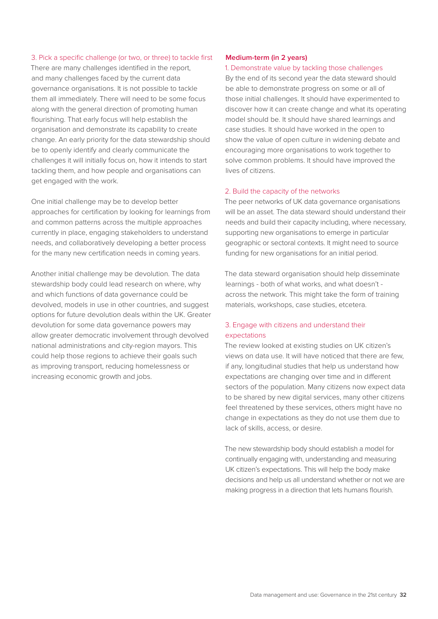#### 3. Pick a specific challenge (or two, or three) to tackle first

There are many challenges identified in the report, and many challenges faced by the current data governance organisations. It is not possible to tackle them all immediately. There will need to be some focus along with the general direction of promoting human flourishing. That early focus will help establish the organisation and demonstrate its capability to create change. An early priority for the data stewardship should be to openly identify and clearly communicate the challenges it will initially focus on, how it intends to start tackling them, and how people and organisations can get engaged with the work.

One initial challenge may be to develop better approaches for certification by looking for learnings from and common patterns across the multiple approaches currently in place, engaging stakeholders to understand needs, and collaboratively developing a better process for the many new certification needs in coming years.

Another initial challenge may be devolution. The data stewardship body could lead research on where, why and which functions of data governance could be devolved, models in use in other countries, and suggest options for future devolution deals within the UK. Greater devolution for some data governance powers may allow greater democratic involvement through devolved national administrations and city-region mayors. This could help those regions to achieve their goals such as improving transport, reducing homelessness or increasing economic growth and jobs.

#### **Medium-term (in 2 years)**

#### 1. Demonstrate value by tackling those challenges

By the end of its second year the data steward should be able to demonstrate progress on some or all of those initial challenges. It should have experimented to discover how it can create change and what its operating model should be. It should have shared learnings and case studies. It should have worked in the open to show the value of open culture in widening debate and encouraging more organisations to work together to solve common problems. It should have improved the lives of citizens.

#### 2. Build the capacity of the networks

The peer networks of UK data governance organisations will be an asset. The data steward should understand their needs and build their capacity including, where necessary, supporting new organisations to emerge in particular geographic or sectoral contexts. It might need to source funding for new organisations for an initial period.

The data steward organisation should help disseminate learnings - both of what works, and what doesn't across the network. This might take the form of training materials, workshops, case studies, etcetera.

#### 3. Engage with citizens and understand their expectations

The review looked at existing studies on UK citizen's views on data use. It will have noticed that there are few, if any, longitudinal studies that help us understand how expectations are changing over time and in different sectors of the population. Many citizens now expect data to be shared by new digital services, many other citizens feel threatened by these services, others might have no change in expectations as they do not use them due to lack of skills, access, or desire.

The new stewardship body should establish a model for continually engaging with, understanding and measuring UK citizen's expectations. This will help the body make decisions and help us all understand whether or not we are making progress in a direction that lets humans flourish.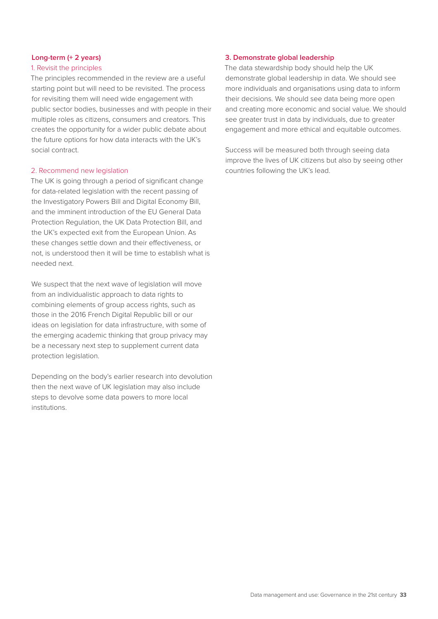#### **Long-term (+ 2 years)**

#### 1. Revisit the principles

The principles recommended in the review are a useful starting point but will need to be revisited. The process for revisiting them will need wide engagement with public sector bodies, businesses and with people in their multiple roles as citizens, consumers and creators. This creates the opportunity for a wider public debate about the future options for how data interacts with the UK's social contract.

#### 2. Recommend new legislation

The UK is going through a period of significant change for data-related legislation with the recent passing of the Investigatory Powers Bill and Digital Economy Bill, and the imminent introduction of the EU General Data Protection Regulation, the UK Data Protection Bill, and the UK's expected exit from the European Union. As these changes settle down and their effectiveness, or not, is understood then it will be time to establish what is needed next.

We suspect that the next wave of legislation will move from an individualistic approach to data rights to combining elements of group access rights, such as those in the 2016 French Digital Republic bill or our ideas on legislation for data infrastructure, with some of the emerging academic thinking that group privacy may be a necessary next step to supplement current data protection legislation.

Depending on the body's earlier research into devolution then the next wave of UK legislation may also include steps to devolve some data powers to more local institutions.

#### **3. Demonstrate global leadership**

The data stewardship body should help the UK demonstrate global leadership in data. We should see more individuals and organisations using data to inform their decisions. We should see data being more open and creating more economic and social value. We should see greater trust in data by individuals, due to greater engagement and more ethical and equitable outcomes.

Success will be measured both through seeing data improve the lives of UK citizens but also by seeing other countries following the UK's lead.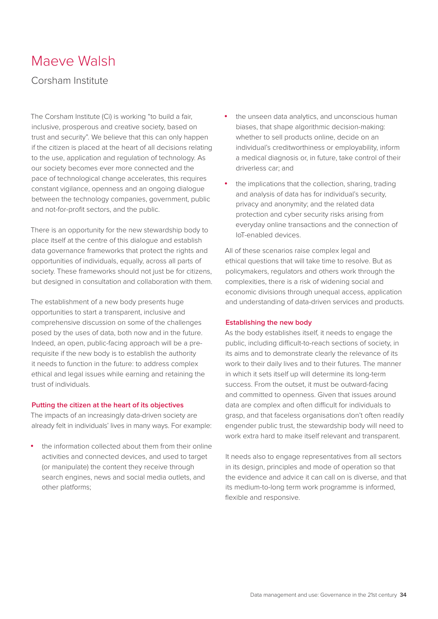### Maeve Walsh

#### Corsham Institute

The Corsham Institute (Ci) is working "to build a fair, inclusive, prosperous and creative society, based on trust and security". We believe that this can only happen if the citizen is placed at the heart of all decisions relating to the use, application and regulation of technology. As our society becomes ever more connected and the pace of technological change accelerates, this requires constant vigilance, openness and an ongoing dialogue between the technology companies, government, public and not-for-profit sectors, and the public.

There is an opportunity for the new stewardship body to place itself at the centre of this dialogue and establish data governance frameworks that protect the rights and opportunities of individuals, equally, across all parts of society. These frameworks should not just be for citizens, but designed in consultation and collaboration with them.

The establishment of a new body presents huge opportunities to start a transparent, inclusive and comprehensive discussion on some of the challenges posed by the uses of data, both now and in the future. Indeed, an open, public-facing approach will be a prerequisite if the new body is to establish the authority it needs to function in the future: to address complex ethical and legal issues while earning and retaining the trust of individuals.

#### **Putting the citizen at the heart of its objectives**

The impacts of an increasingly data-driven society are already felt in individuals' lives in many ways. For example:

the information collected about them from their online activities and connected devices, and used to target (or manipulate) the content they receive through search engines, news and social media outlets, and other platforms;

- the unseen data analytics, and unconscious human biases, that shape algorithmic decision-making: whether to sell products online, decide on an individual's creditworthiness or employability, inform a medical diagnosis or, in future, take control of their driverless car; and
- the implications that the collection, sharing, trading and analysis of data has for individual's security, privacy and anonymity; and the related data protection and cyber security risks arising from everyday online transactions and the connection of IoT-enabled devices.

All of these scenarios raise complex legal and ethical questions that will take time to resolve. But as policymakers, regulators and others work through the complexities, there is a risk of widening social and economic divisions through unequal access, application and understanding of data-driven services and products.

#### **Establishing the new body**

As the body establishes itself, it needs to engage the public, including difficult-to-reach sections of society, in its aims and to demonstrate clearly the relevance of its work to their daily lives and to their futures. The manner in which it sets itself up will determine its long-term success. From the outset, it must be outward-facing and committed to openness. Given that issues around data are complex and often difficult for individuals to grasp, and that faceless organisations don't often readily engender public trust, the stewardship body will need to work extra hard to make itself relevant and transparent.

It needs also to engage representatives from all sectors in its design, principles and mode of operation so that the evidence and advice it can call on is diverse, and that its medium-to-long term work programme is informed, flexible and responsive.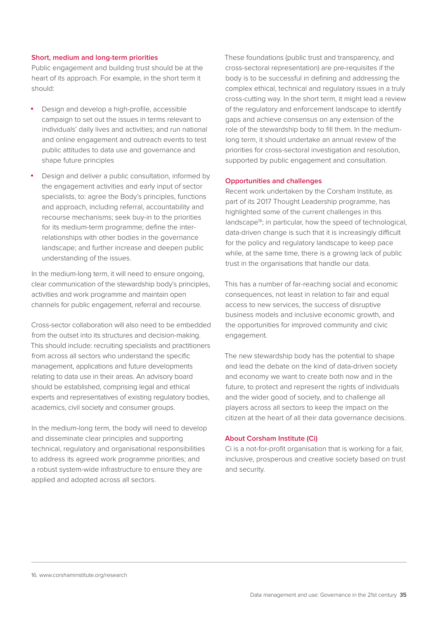#### **Short, medium and long-term priorities**

Public engagement and building trust should be at the heart of its approach. For example, in the short term it should:

- Design and develop a high-profile, accessible campaign to set out the issues in terms relevant to individuals' daily lives and activities; and run national and online engagement and outreach events to test public attitudes to data use and governance and shape future principles
- Design and deliver a public consultation, informed by the engagement activities and early input of sector specialists, to: agree the Body's principles, functions and approach, including referral, accountability and recourse mechanisms; seek buy-in to the priorities for its medium-term programme; define the interrelationships with other bodies in the governance landscape; and further increase and deepen public understanding of the issues.

In the medium-long term, it will need to ensure ongoing, clear communication of the stewardship body's principles, activities and work programme and maintain open channels for public engagement, referral and recourse.

Cross-sector collaboration will also need to be embedded from the outset into its structures and decision-making. This should include: recruiting specialists and practitioners from across all sectors who understand the specific management, applications and future developments relating to data use in their areas. An advisory board should be established, comprising legal and ethical experts and representatives of existing regulatory bodies, academics, civil society and consumer groups.

In the medium-long term, the body will need to develop and disseminate clear principles and supporting technical, regulatory and organisational responsibilities to address its agreed work programme priorities; and a robust system-wide infrastructure to ensure they are applied and adopted across all sectors.

These foundations (public trust and transparency, and cross-sectoral representation) are pre-requisites if the body is to be successful in defining and addressing the complex ethical, technical and regulatory issues in a truly cross-cutting way. In the short term, it might lead a review of the regulatory and enforcement landscape to identify gaps and achieve consensus on any extension of the role of the stewardship body to fill them. In the mediumlong term, it should undertake an annual review of the priorities for cross-sectoral investigation and resolution, supported by public engagement and consultation.

#### **Opportunities and challenges**

Recent work undertaken by the Corsham Institute, as part of its 2017 Thought Leadership programme, has highlighted some of the current challenges in this landscape<sup>16</sup>; in particular, how the speed of technological, data-driven change is such that it is increasingly difficult for the policy and regulatory landscape to keep pace while, at the same time, there is a growing lack of public trust in the organisations that handle our data.

This has a number of far-reaching social and economic consequences, not least in relation to fair and equal access to new services, the success of disruptive business models and inclusive economic growth, and the opportunities for improved community and civic engagement.

The new stewardship body has the potential to shape and lead the debate on the kind of data-driven society and economy we want to create both now and in the future, to protect and represent the rights of individuals and the wider good of society, and to challenge all players across all sectors to keep the impact on the citizen at the heart of all their data governance decisions.

#### **About Corsham Institute (Ci)**

Ci is a not-for-profit organisation that is working for a fair, inclusive, prosperous and creative society based on trust and security.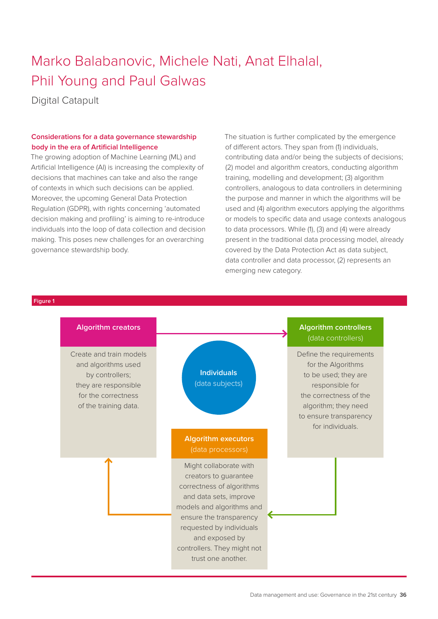### Marko Balabanovic, Michele Nati, Anat Elhalal, Phil Young and Paul Galwas

Digital Catapult

#### **Considerations for a data governance stewardship body in the era of Artificial Intelligence**

The growing adoption of Machine Learning (ML) and Artificial Intelligence (AI) is increasing the complexity of decisions that machines can take and also the range of contexts in which such decisions can be applied. Moreover, the upcoming General Data Protection Regulation (GDPR), with rights concerning 'automated decision making and profiling' is aiming to re-introduce individuals into the loop of data collection and decision making. This poses new challenges for an overarching governance stewardship body.

The situation is further complicated by the emergence of different actors. They span from (1) individuals, contributing data and/or being the subjects of decisions; (2) model and algorithm creators, conducting algorithm training, modelling and development; (3) algorithm controllers, analogous to data controllers in determining the purpose and manner in which the algorithms will be used and (4) algorithm executors applying the algorithms or models to specific data and usage contexts analogous to data processors. While (1), (3) and (4) were already present in the traditional data processing model, already covered by the Data Protection Act as data subject, data controller and data processor, (2) represents an emerging new category.

#### **Figure 1**

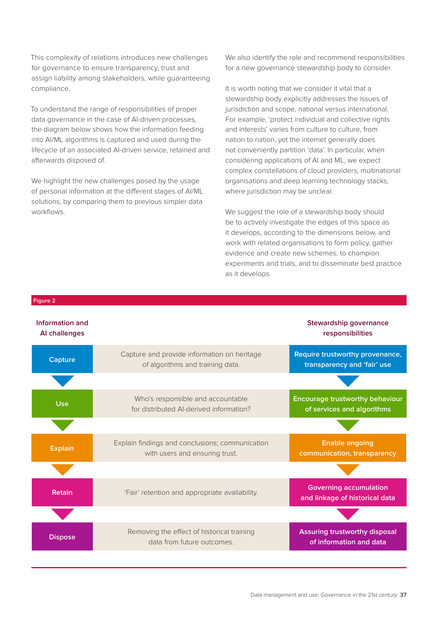This complexity of relations introduces new challenges for governance to ensure transparency, trust and assign liability among stakeholders, while guaranteeing compliance.

To understand the range of responsibilities of proper data governance in the case of AI-driven processes, the diagram below shows how the information feeding into AI/ML algorithms is captured and used during the lifecycle of an associated AI-driven service, retained and afterwards disposed of.

We highlight the new challenges posed by the usage of personal information at the different stages of AI/ML solutions, by comparing them to previous simpler data workflows.

**Figure 2**

We also identify the role and recommend responsibilities for a new governance stewardship body to consider.

It is worth noting that we consider it vital that a stewardship body explicitly addresses the issues of jurisdiction and scope, national versus international. For example, 'protect individual and collective rights and interests' varies from culture to culture, from nation to nation, yet the internet generally does not conveniently partition 'data'. In particular, when considering applications of AI and ML, we expect complex constellations of cloud providers, multinational organisations and deep learning technology stacks, where jurisdiction may be unclear.

We suggest the role of a stewardship body should be to actively investigate the edges of this space as it develops, according to the dimensions below, and work with related organisations to form policy, gather evidence and create new schemes, to champion experiments and trials, and to disseminate best practice as it develops.

| Information and<br>Al challenges |                                                                                   | Stewardship governance<br>responsibilities                            |
|----------------------------------|-----------------------------------------------------------------------------------|-----------------------------------------------------------------------|
| <b>Capture</b>                   | Capture and provide information on heritage<br>of algorithms and training data.   | <b>Require trustworthy provenance,</b><br>transparency and 'fair' use |
|                                  |                                                                                   |                                                                       |
| <b>Use</b>                       | Who's responsible and accountable<br>for distributed Al-derived information?      | <b>Encourage trustworthy behaviour</b><br>of services and algorithms  |
|                                  |                                                                                   |                                                                       |
| <b>Explain</b>                   | Explain findings and conclusions; communication<br>with users and ensuring trust. | <b>Enable ongoing</b><br>communication, transparency                  |
|                                  |                                                                                   |                                                                       |
| <b>Retain</b>                    | 'Fair' retention and appropriate availability.                                    | <b>Governing accumulation</b><br>and linkage of historical data       |
|                                  |                                                                                   |                                                                       |
| <b>Dispose</b>                   | Removing the effect of historical training<br>data from future outcomes.          | <b>Assuring trustworthy disposal</b><br>of information and data       |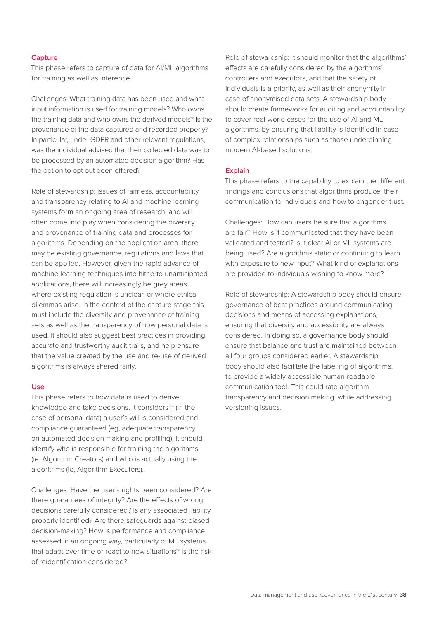#### **Capture**

This phase refers to capture of data for AI/ML algorithms for training as well as inference.

Challenges: What training data has been used and what input information is used for training models? Who owns the training data and who owns the derived models? Is the provenance of the data captured and recorded properly? In particular, under GDPR and other relevant regulations, was the individual advised that their collected data was to be processed by an automated decision algorithm? Has the option to opt out been offered?

Role of stewardship: Issues of fairness, accountability and transparency relating to AI and machine learning systems form an ongoing area of research, and will often come into play when considering the diversity and provenance of training data and processes for algorithms. Depending on the application area, there may be existing governance, regulations and laws that can be applied. However, given the rapid advance of machine learning techniques into hitherto unanticipated applications, there will increasingly be grey areas where existing regulation is unclear, or where ethical dilemmas arise. In the context of the capture stage this must include the diversity and provenance of training sets as well as the transparency of how personal data is used. It should also suggest best practices in providing accurate and trustworthy audit trails, and help ensure that the value created by the use and re-use of derived algorithms is always shared fairly.

#### **Use**

This phase refers to how data is used to derive knowledge and take decisions. It considers if (in the case of personal data) a user's will is considered and compliance guaranteed (eg, adequate transparency on automated decision making and profiling); it should identify who is responsible for training the algorithms (ie, Algorithm Creators) and who is actually using the algorithms (ie, Algorithm Executors).

Challenges: Have the user's rights been considered? Are there guarantees of integrity? Are the effects of wrong decisions carefully considered? Is any associated liability properly identified? Are there safeguards against biased decision-making? How is performance and compliance assessed in an ongoing way, particularly of ML systems that adapt over time or react to new situations? Is the risk of reidentification considered?

Role of stewardship: It should monitor that the algorithms' effects are carefully considered by the algorithms' controllers and executors, and that the safety of individuals is a priority, as well as their anonymity in case of anonymised data sets. A stewardship body should create frameworks for auditing and accountability to cover real-world cases for the use of AI and ML algorithms, by ensuring that liability is identified in case of complex relationships such as those underpinning modern AI-based solutions.

#### **Explain**

This phase refers to the capability to explain the different findings and conclusions that algorithms produce; their communication to individuals and how to engender trust.

Challenges: How can users be sure that algorithms are fair? How is it communicated that they have been validated and tested? Is it clear AI or ML systems are being used? Are algorithms static or continuing to learn with exposure to new input? What kind of explanations are provided to individuals wishing to know more?

Role of stewardship: A stewardship body should ensure governance of best practices around communicating decisions and means of accessing explanations, ensuring that diversity and accessibility are always considered. In doing so, a governance body should ensure that balance and trust are maintained between all four groups considered earlier. A stewardship body should also facilitate the labelling of algorithms, to provide a widely accessible human-readable communication tool. This could rate algorithm transparency and decision making, while addressing versioning issues.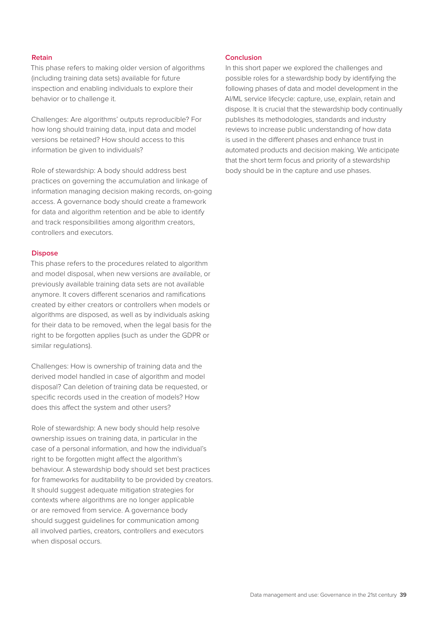#### **Retain**

This phase refers to making older version of algorithms (including training data sets) available for future inspection and enabling individuals to explore their behavior or to challenge it.

Challenges: Are algorithms' outputs reproducible? For how long should training data, input data and model versions be retained? How should access to this information be given to individuals?

Role of stewardship: A body should address best practices on governing the accumulation and linkage of information managing decision making records, on-going access. A governance body should create a framework for data and algorithm retention and be able to identify and track responsibilities among algorithm creators, controllers and executors.

#### **Dispose**

This phase refers to the procedures related to algorithm and model disposal, when new versions are available, or previously available training data sets are not available anymore. It covers different scenarios and ramifications created by either creators or controllers when models or algorithms are disposed, as well as by individuals asking for their data to be removed, when the legal basis for the right to be forgotten applies (such as under the GDPR or similar regulations).

Challenges: How is ownership of training data and the derived model handled in case of algorithm and model disposal? Can deletion of training data be requested, or specific records used in the creation of models? How does this affect the system and other users?

Role of stewardship: A new body should help resolve ownership issues on training data, in particular in the case of a personal information, and how the individual's right to be forgotten might affect the algorithm's behaviour. A stewardship body should set best practices for frameworks for auditability to be provided by creators. It should suggest adequate mitigation strategies for contexts where algorithms are no longer applicable or are removed from service. A governance body should suggest guidelines for communication among all involved parties, creators, controllers and executors when disposal occurs.

#### **Conclusion**

In this short paper we explored the challenges and possible roles for a stewardship body by identifying the following phases of data and model development in the AI/ML service lifecycle: capture, use, explain, retain and dispose. It is crucial that the stewardship body continually publishes its methodologies, standards and industry reviews to increase public understanding of how data is used in the different phases and enhance trust in automated products and decision making. We anticipate that the short term focus and priority of a stewardship body should be in the capture and use phases.